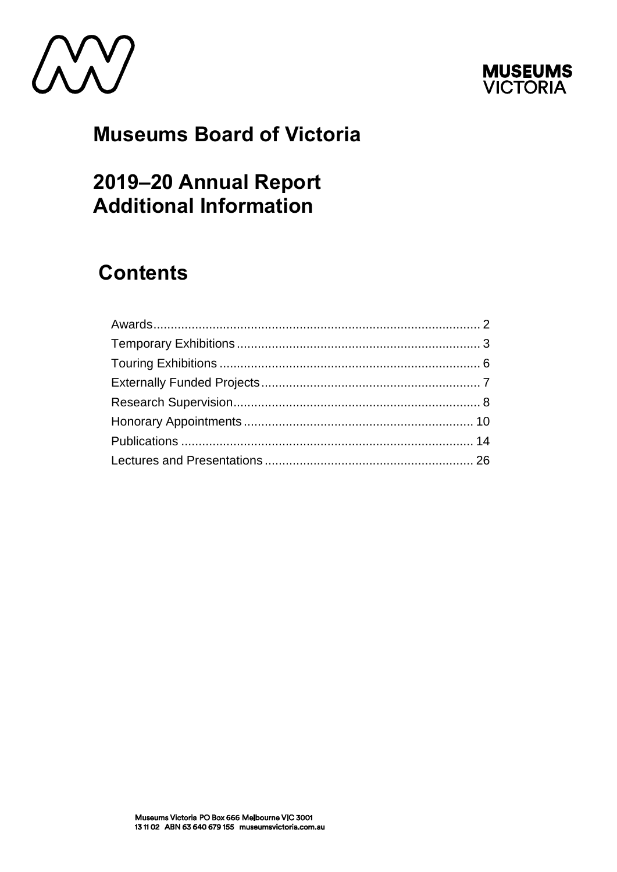



# **Museums Board of Victoria**

# 2019-20 Annual Report **Additional Information**

# **Contents**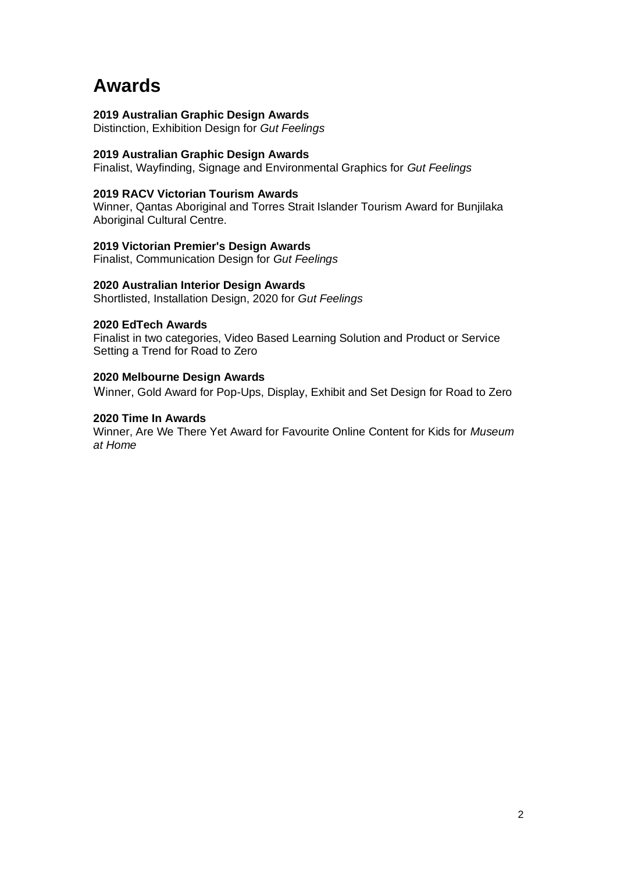# <span id="page-1-0"></span>**Awards**

#### **2019 Australian Graphic Design Awards**

Distinction, Exhibition Design for *Gut Feelings*

#### **2019 Australian Graphic Design Awards**

Finalist, Wayfinding, Signage and Environmental Graphics for *Gut Feelings*

#### **2019 RACV Victorian Tourism Awards**

Winner, Qantas Aboriginal and Torres Strait Islander Tourism Award for Bunjilaka Aboriginal Cultural Centre.

#### **2019 Victorian Premier's Design Awards**

Finalist, Communication Design for *Gut Feelings*

#### **2020 Australian Interior Design Awards**

Shortlisted, Installation Design, 2020 for *Gut Feelings*

#### **2020 EdTech Awards**

Finalist in two categories, Video Based Learning Solution and Product or Service Setting a Trend for Road to Zero

#### **2020 Melbourne Design Awards**

Winner, Gold Award for Pop-Ups, Display, Exhibit and Set Design for Road to Zero

#### **2020 Time In Awards**

Winner, Are We There Yet Award for Favourite Online Content for Kids for *Museum at Home*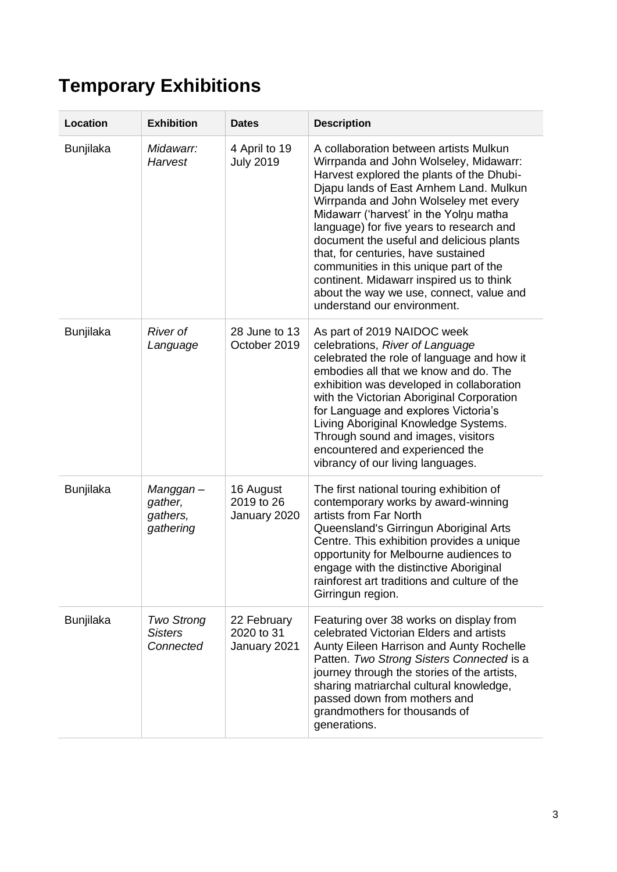# <span id="page-2-0"></span>**Temporary Exhibitions**

| Location         | <b>Exhibition</b>                                | <b>Dates</b>                              | <b>Description</b>                                                                                                                                                                                                                                                                                                                                                                                                                                                                                                                                          |
|------------------|--------------------------------------------------|-------------------------------------------|-------------------------------------------------------------------------------------------------------------------------------------------------------------------------------------------------------------------------------------------------------------------------------------------------------------------------------------------------------------------------------------------------------------------------------------------------------------------------------------------------------------------------------------------------------------|
| <b>Bunjilaka</b> | Midawarr:<br>Harvest                             | 4 April to 19<br><b>July 2019</b>         | A collaboration between artists Mulkun<br>Wirrpanda and John Wolseley, Midawarr:<br>Harvest explored the plants of the Dhubi-<br>Djapu lands of East Arnhem Land. Mulkun<br>Wirrpanda and John Wolseley met every<br>Midawarr ('harvest' in the Yolnu matha<br>language) for five years to research and<br>document the useful and delicious plants<br>that, for centuries, have sustained<br>communities in this unique part of the<br>continent. Midawarr inspired us to think<br>about the way we use, connect, value and<br>understand our environment. |
| <b>Bunjilaka</b> | <b>River of</b><br>Language                      | 28 June to 13<br>October 2019             | As part of 2019 NAIDOC week<br>celebrations, River of Language<br>celebrated the role of language and how it<br>embodies all that we know and do. The<br>exhibition was developed in collaboration<br>with the Victorian Aboriginal Corporation<br>for Language and explores Victoria's<br>Living Aboriginal Knowledge Systems.<br>Through sound and images, visitors<br>encountered and experienced the<br>vibrancy of our living languages.                                                                                                               |
| <b>Bunjilaka</b> | Manggan –<br>gather,<br>gathers,<br>gathering    | 16 August<br>2019 to 26<br>January 2020   | The first national touring exhibition of<br>contemporary works by award-winning<br>artists from Far North<br>Queensland's Girringun Aboriginal Arts<br>Centre. This exhibition provides a unique<br>opportunity for Melbourne audiences to<br>engage with the distinctive Aboriginal<br>rainforest art traditions and culture of the<br>Girringun region.                                                                                                                                                                                                   |
| <b>Bunjilaka</b> | <b>Two Strong</b><br><b>Sisters</b><br>Connected | 22 February<br>2020 to 31<br>January 2021 | Featuring over 38 works on display from<br>celebrated Victorian Elders and artists<br>Aunty Eileen Harrison and Aunty Rochelle<br>Patten. Two Strong Sisters Connected is a<br>journey through the stories of the artists,<br>sharing matriarchal cultural knowledge,<br>passed down from mothers and<br>grandmothers for thousands of<br>generations.                                                                                                                                                                                                      |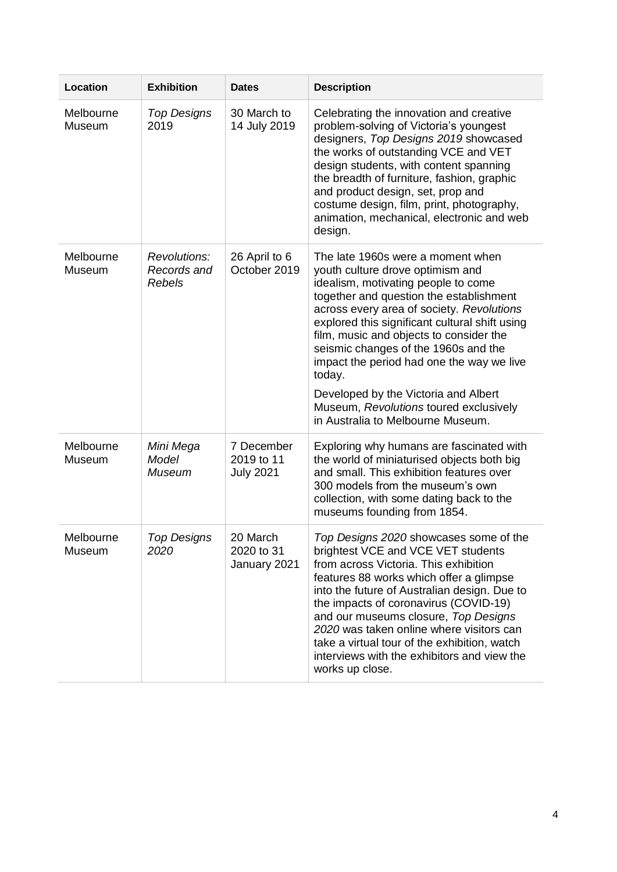| Location            | <b>Exhibition</b>                            | <b>Dates</b>                                 | <b>Description</b>                                                                                                                                                                                                                                                                                                                                                                                                                                                                                                      |
|---------------------|----------------------------------------------|----------------------------------------------|-------------------------------------------------------------------------------------------------------------------------------------------------------------------------------------------------------------------------------------------------------------------------------------------------------------------------------------------------------------------------------------------------------------------------------------------------------------------------------------------------------------------------|
| Melbourne<br>Museum | <b>Top Designs</b><br>2019                   | 30 March to<br>14 July 2019                  | Celebrating the innovation and creative<br>problem-solving of Victoria's youngest<br>designers, Top Designs 2019 showcased<br>the works of outstanding VCE and VET<br>design students, with content spanning<br>the breadth of furniture, fashion, graphic<br>and product design, set, prop and<br>costume design, film, print, photography,<br>animation, mechanical, electronic and web<br>design.                                                                                                                    |
| Melbourne<br>Museum | Revolutions:<br>Records and<br><b>Rebels</b> | 26 April to 6<br>October 2019                | The late 1960s were a moment when<br>youth culture drove optimism and<br>idealism, motivating people to come<br>together and question the establishment<br>across every area of society. Revolutions<br>explored this significant cultural shift using<br>film, music and objects to consider the<br>seismic changes of the 1960s and the<br>impact the period had one the way we live<br>today.<br>Developed by the Victoria and Albert<br>Museum, Revolutions toured exclusively<br>in Australia to Melbourne Museum. |
| Melbourne<br>Museum | Mini Mega<br>Model<br><b>Museum</b>          | 7 December<br>2019 to 11<br><b>July 2021</b> | Exploring why humans are fascinated with<br>the world of miniaturised objects both big<br>and small. This exhibition features over<br>300 models from the museum's own<br>collection, with some dating back to the<br>museums founding from 1854.                                                                                                                                                                                                                                                                       |
| Melbourne<br>Museum | <b>Top Designs</b><br>2020                   | 20 March<br>2020 to 31<br>January 2021       | Top Designs 2020 showcases some of the<br>brightest VCE and VCE VET students<br>from across Victoria. This exhibition<br>features 88 works which offer a glimpse<br>into the future of Australian design. Due to<br>the impacts of coronavirus (COVID-19)<br>and our museums closure, Top Designs<br>2020 was taken online where visitors can<br>take a virtual tour of the exhibition, watch<br>interviews with the exhibitors and view the<br>works up close.                                                         |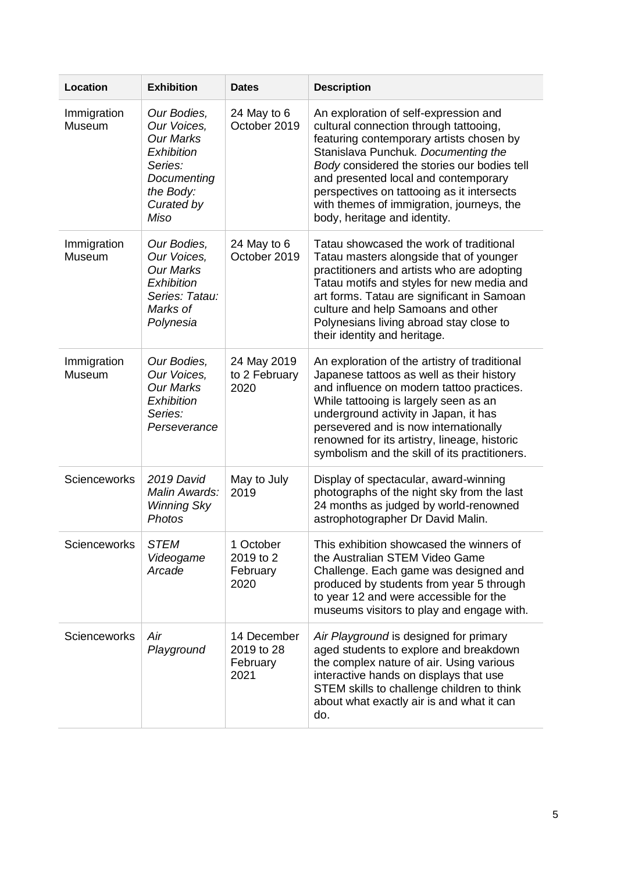| Location              | <b>Exhibition</b>                                                                                                         | <b>Dates</b>                                  | <b>Description</b>                                                                                                                                                                                                                                                                                                                                                                   |
|-----------------------|---------------------------------------------------------------------------------------------------------------------------|-----------------------------------------------|--------------------------------------------------------------------------------------------------------------------------------------------------------------------------------------------------------------------------------------------------------------------------------------------------------------------------------------------------------------------------------------|
| Immigration<br>Museum | Our Bodies,<br>Our Voices,<br><b>Our Marks</b><br>Exhibition<br>Series:<br>Documenting<br>the Body:<br>Curated by<br>Miso | 24 May to 6<br>October 2019                   | An exploration of self-expression and<br>cultural connection through tattooing,<br>featuring contemporary artists chosen by<br>Stanislava Punchuk. Documenting the<br>Body considered the stories our bodies tell<br>and presented local and contemporary<br>perspectives on tattooing as it intersects<br>with themes of immigration, journeys, the<br>body, heritage and identity. |
| Immigration<br>Museum | Our Bodies,<br>Our Voices,<br><b>Our Marks</b><br>Exhibition<br>Series: Tatau:<br>Marks of<br>Polynesia                   | 24 May to 6<br>October 2019                   | Tatau showcased the work of traditional<br>Tatau masters alongside that of younger<br>practitioners and artists who are adopting<br>Tatau motifs and styles for new media and<br>art forms. Tatau are significant in Samoan<br>culture and help Samoans and other<br>Polynesians living abroad stay close to<br>their identity and heritage.                                         |
| Immigration<br>Museum | Our Bodies.<br>Our Voices,<br><b>Our Marks</b><br>Exhibition<br>Series:<br>Perseverance                                   | 24 May 2019<br>to 2 February<br>2020          | An exploration of the artistry of traditional<br>Japanese tattoos as well as their history<br>and influence on modern tattoo practices.<br>While tattooing is largely seen as an<br>underground activity in Japan, it has<br>persevered and is now internationally<br>renowned for its artistry, lineage, historic<br>symbolism and the skill of its practitioners.                  |
| <b>Scienceworks</b>   | 2019 David<br>Malin Awards:<br><b>Winning Sky</b><br>Photos                                                               | May to July<br>2019                           | Display of spectacular, award-winning<br>photographs of the night sky from the last<br>24 months as judged by world-renowned<br>astrophotographer Dr David Malin.                                                                                                                                                                                                                    |
| <b>Scienceworks</b>   | <b>STEM</b><br>Videogame<br>Arcade                                                                                        | 1 October<br>2019 to 2<br>February<br>2020    | This exhibition showcased the winners of<br>the Australian STEM Video Game<br>Challenge. Each game was designed and<br>produced by students from year 5 through<br>to year 12 and were accessible for the<br>museums visitors to play and engage with.                                                                                                                               |
| Scienceworks          | Air<br>Playground                                                                                                         | 14 December<br>2019 to 28<br>February<br>2021 | Air Playground is designed for primary<br>aged students to explore and breakdown<br>the complex nature of air. Using various<br>interactive hands on displays that use<br>STEM skills to challenge children to think<br>about what exactly air is and what it can<br>do.                                                                                                             |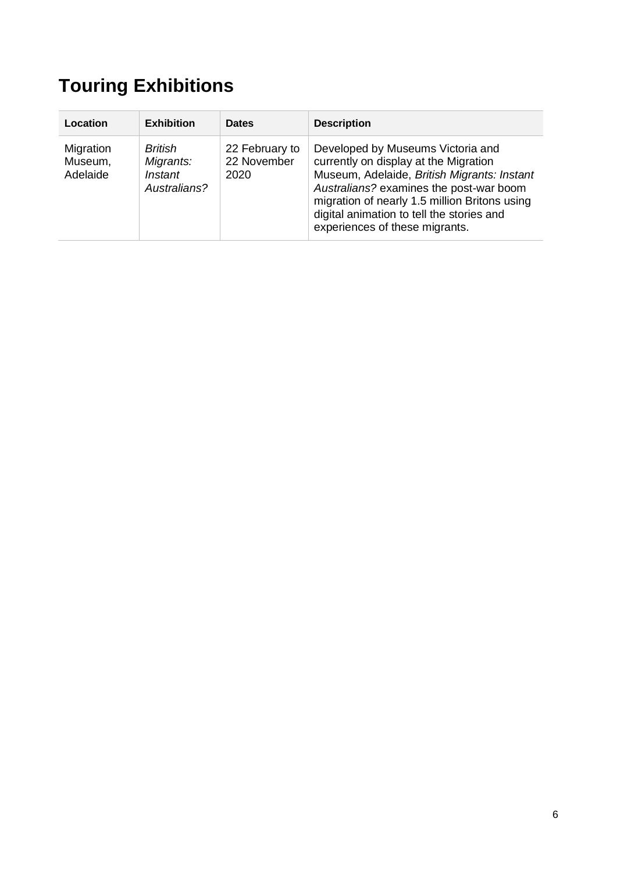# <span id="page-5-0"></span>**Touring Exhibitions**

| Location                         | <b>Exhibition</b>                                                    | <b>Dates</b>                          | <b>Description</b>                                                                                                                                                                                                                                                                                   |
|----------------------------------|----------------------------------------------------------------------|---------------------------------------|------------------------------------------------------------------------------------------------------------------------------------------------------------------------------------------------------------------------------------------------------------------------------------------------------|
| Migration<br>Museum,<br>Adelaide | <b>British</b><br>Migrants:<br><i><b>Instant</b></i><br>Australians? | 22 February to<br>22 November<br>2020 | Developed by Museums Victoria and<br>currently on display at the Migration<br>Museum, Adelaide, British Migrants: Instant<br>Australians? examines the post-war boom<br>migration of nearly 1.5 million Britons using<br>digital animation to tell the stories and<br>experiences of these migrants. |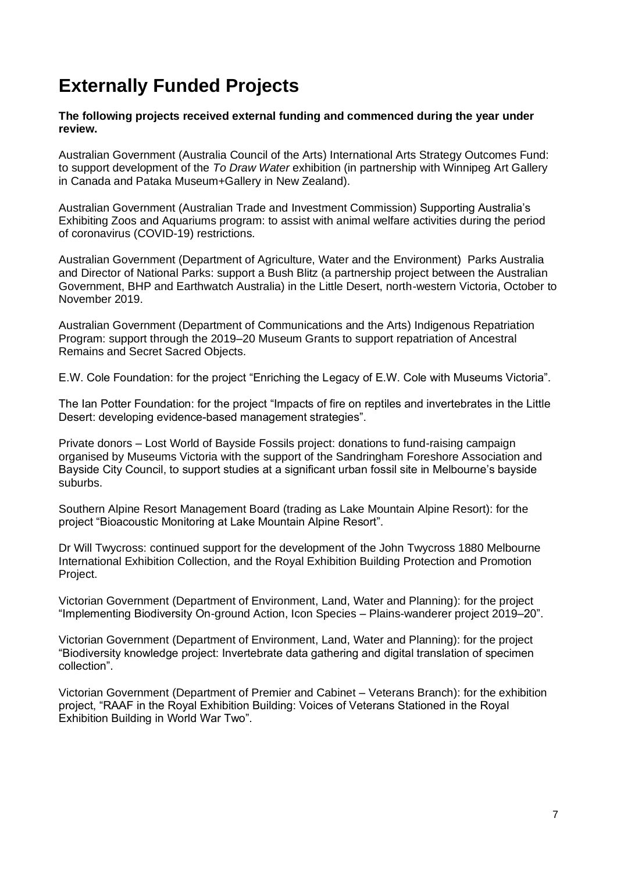# <span id="page-6-0"></span>**Externally Funded Projects**

**The following projects received external funding and commenced during the year under review.**

Australian Government (Australia Council of the Arts) International Arts Strategy Outcomes Fund: to support development of the *To Draw Water* exhibition (in partnership with Winnipeg Art Gallery in Canada and Pataka Museum+Gallery in New Zealand).

Australian Government (Australian Trade and Investment Commission) Supporting Australia's Exhibiting Zoos and Aquariums program: to assist with animal welfare activities during the period of coronavirus (COVID-19) restrictions.

Australian Government (Department of Agriculture, Water and the Environment) Parks Australia and Director of National Parks: support a Bush Blitz (a partnership project between the Australian Government, BHP and Earthwatch Australia) in the Little Desert, north-western Victoria, October to November 2019.

Australian Government (Department of Communications and the Arts) Indigenous Repatriation Program: support through the 2019–20 Museum Grants to support repatriation of Ancestral Remains and Secret Sacred Objects.

E.W. Cole Foundation: for the project "Enriching the Legacy of E.W. Cole with Museums Victoria".

The Ian Potter Foundation: for the project "Impacts of fire on reptiles and invertebrates in the Little Desert: developing evidence-based management strategies".

Private donors – Lost World of Bayside Fossils project: donations to fund-raising campaign organised by Museums Victoria with the support of the Sandringham Foreshore Association and Bayside City Council, to support studies at a significant urban fossil site in Melbourne's bayside suburbs.

Southern Alpine Resort Management Board (trading as Lake Mountain Alpine Resort): for the project "Bioacoustic Monitoring at Lake Mountain Alpine Resort".

Dr Will Twycross: continued support for the development of the John Twycross 1880 Melbourne International Exhibition Collection, and the Royal Exhibition Building Protection and Promotion Project.

Victorian Government (Department of Environment, Land, Water and Planning): for the project "Implementing Biodiversity On-ground Action, Icon Species – Plains-wanderer project 2019–20".

Victorian Government (Department of Environment, Land, Water and Planning): for the project "Biodiversity knowledge project: Invertebrate data gathering and digital translation of specimen collection".

Victorian Government (Department of Premier and Cabinet – Veterans Branch): for the exhibition project, "RAAF in the Royal Exhibition Building: Voices of Veterans Stationed in the Royal Exhibition Building in World War Two".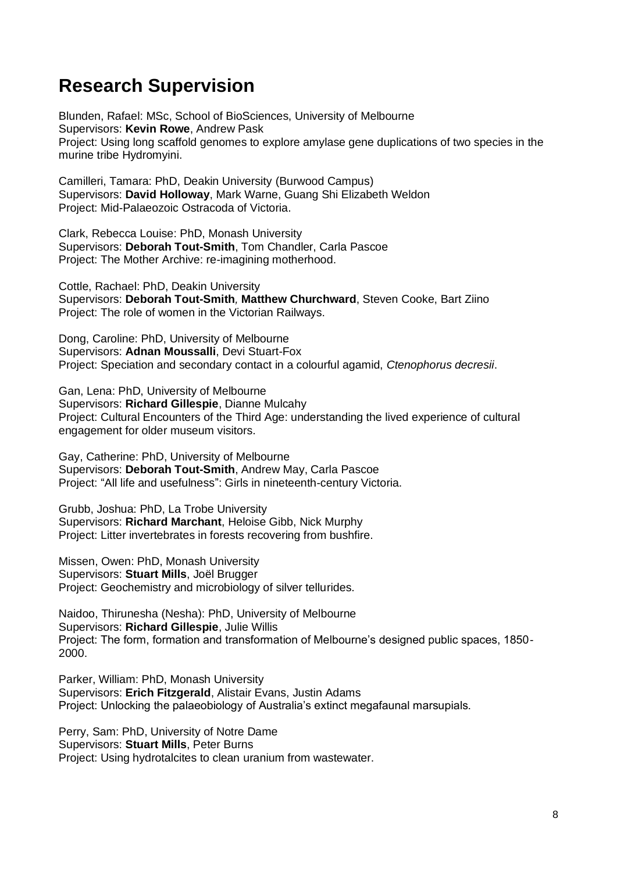## <span id="page-7-0"></span>**Research Supervision**

Blunden, Rafael: MSc, School of BioSciences, University of Melbourne Supervisors: **Kevin Rowe**, Andrew Pask Project: Using long scaffold genomes to explore amylase gene duplications of two species in the murine tribe Hydromyini.

Camilleri, Tamara: PhD, Deakin University (Burwood Campus) Supervisors: **David Holloway**, Mark Warne, Guang Shi Elizabeth Weldon Project: Mid-Palaeozoic Ostracoda of Victoria.

Clark, Rebecca Louise: PhD, Monash University Supervisors: **Deborah Tout-Smith**, Tom Chandler, Carla Pascoe Project: The Mother Archive: re-imagining motherhood.

Cottle, Rachael: PhD, Deakin University Supervisors: **Deborah Tout-Smith***,* **Matthew Churchward**, Steven Cooke, Bart Ziino Project: The role of women in the Victorian Railways.

Dong, Caroline: PhD, University of Melbourne Supervisors: **Adnan Moussalli**, Devi Stuart-Fox Project: Speciation and secondary contact in a colourful agamid, *Ctenophorus decresii*.

Gan, Lena: PhD, University of Melbourne Supervisors: **Richard Gillespie**, Dianne Mulcahy Project: Cultural Encounters of the Third Age: understanding the lived experience of cultural engagement for older museum visitors.

Gay, Catherine: PhD, University of Melbourne Supervisors: **Deborah Tout-Smith**, Andrew May, Carla Pascoe Project: "All life and usefulness": Girls in nineteenth-century Victoria.

Grubb, Joshua: PhD, La Trobe University Supervisors: **Richard Marchant**, Heloise Gibb, Nick Murphy Project: Litter invertebrates in forests recovering from bushfire.

Missen, Owen: PhD, Monash University Supervisors: **Stuart Mills**, Joël Brugger Project: Geochemistry and microbiology of silver tellurides.

Naidoo, Thirunesha (Nesha): PhD, University of Melbourne Supervisors: **Richard Gillespie**, Julie Willis Project: The form, formation and transformation of Melbourne's designed public spaces, 1850-  $2000$ 

Parker, William: PhD, Monash University Supervisors: **Erich Fitzgerald**, Alistair Evans, Justin Adams Project: Unlocking the palaeobiology of Australia's extinct megafaunal marsupials.

Perry, Sam: PhD, University of Notre Dame Supervisors: **Stuart Mills**, Peter Burns Project: Using hydrotalcites to clean uranium from wastewater.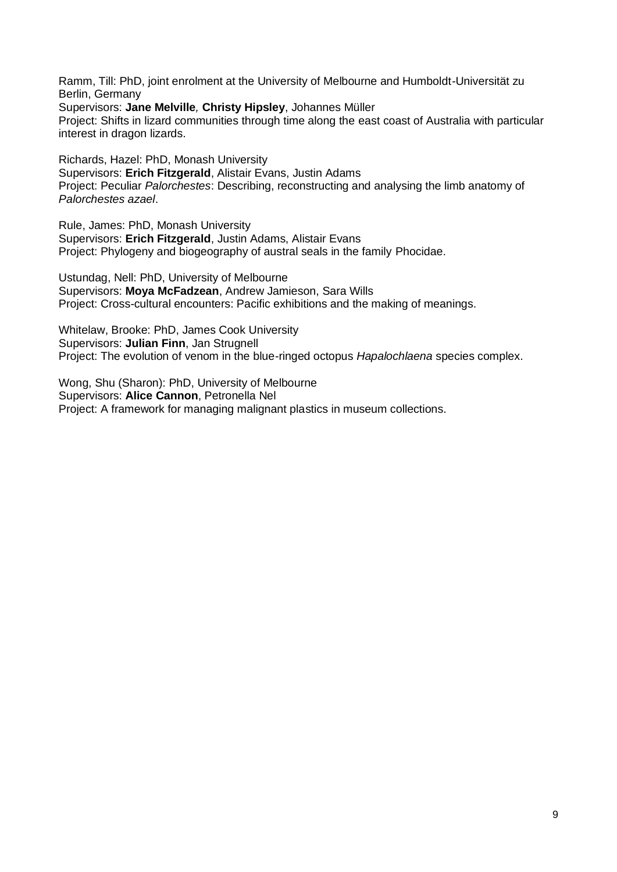Ramm, Till: PhD, joint enrolment at the University of Melbourne and Humboldt-Universität zu Berlin, Germany

Supervisors: **Jane Melville***,* **Christy Hipsley**, Johannes Müller

Project: Shifts in lizard communities through time along the east coast of Australia with particular interest in dragon lizards.

Richards, Hazel: PhD, Monash University Supervisors: **Erich Fitzgerald**, Alistair Evans, Justin Adams Project: Peculiar *Palorchestes*: Describing, reconstructing and analysing the limb anatomy of *Palorchestes azael*.

Rule, James: PhD, Monash University Supervisors: **Erich Fitzgerald**, Justin Adams, Alistair Evans Project: Phylogeny and biogeography of austral seals in the family Phocidae.

Ustundag, Nell: PhD, University of Melbourne Supervisors: **Moya McFadzean**, Andrew Jamieson, Sara Wills Project: Cross-cultural encounters: Pacific exhibitions and the making of meanings.

Whitelaw, Brooke: PhD, James Cook University Supervisors: **Julian Finn**, Jan Strugnell Project: The evolution of venom in the blue-ringed octopus *Hapalochlaena* species complex.

Wong, Shu (Sharon): PhD, University of Melbourne Supervisors: **Alice Cannon**, Petronella Nel Project: A framework for managing malignant plastics in museum collections.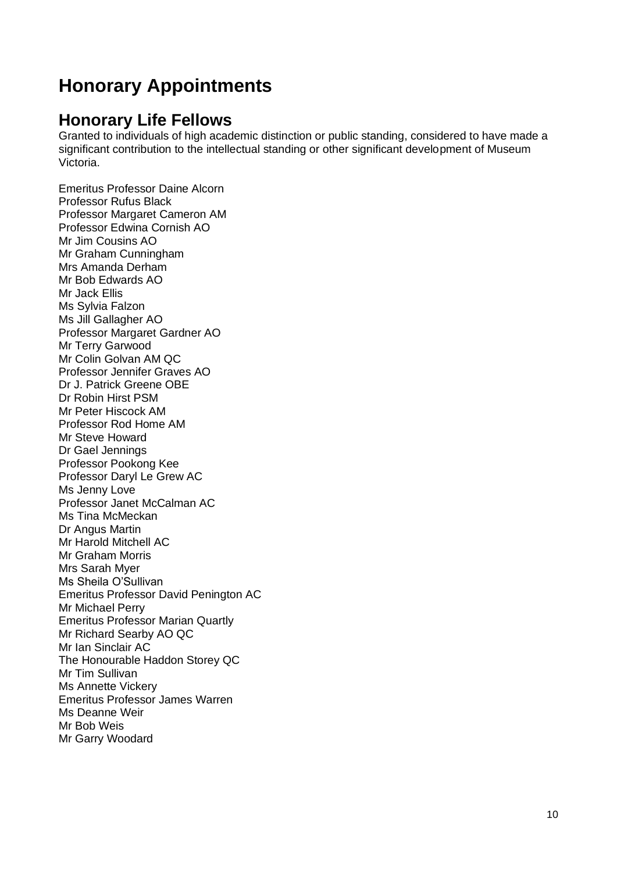# <span id="page-9-0"></span>**Honorary Appointments**

### **Honorary Life Fellows**

Granted to individuals of high academic distinction or public standing, considered to have made a significant contribution to the intellectual standing or other significant development of Museum Victoria.

Emeritus Professor Daine Alcorn Professor Rufus Black Professor Margaret Cameron AM Professor Edwina Cornish AO Mr Jim Cousins AO Mr Graham Cunningham Mrs Amanda Derham Mr Bob Edwards AO Mr Jack Ellis Ms Sylvia Falzon Ms Jill Gallagher AO Professor Margaret Gardner AO Mr Terry Garwood Mr Colin Golvan AM QC Professor Jennifer Graves AO Dr J. Patrick Greene OBE Dr Robin Hirst PSM Mr Peter Hiscock AM Professor Rod Home AM Mr Steve Howard Dr Gael Jennings Professor Pookong Kee Professor Daryl Le Grew AC Ms Jenny Love Professor Janet McCalman AC Ms Tina McMeckan Dr Angus Martin Mr Harold Mitchell AC Mr Graham Morris Mrs Sarah Myer Ms Sheila O'Sullivan Emeritus Professor David Penington AC Mr Michael Perry Emeritus Professor Marian Quartly Mr Richard Searby AO QC Mr Ian Sinclair AC The Honourable Haddon Storey QC Mr Tim Sullivan Ms Annette Vickery Emeritus Professor James Warren Ms Deanne Weir Mr Bob Weis Mr Garry Woodard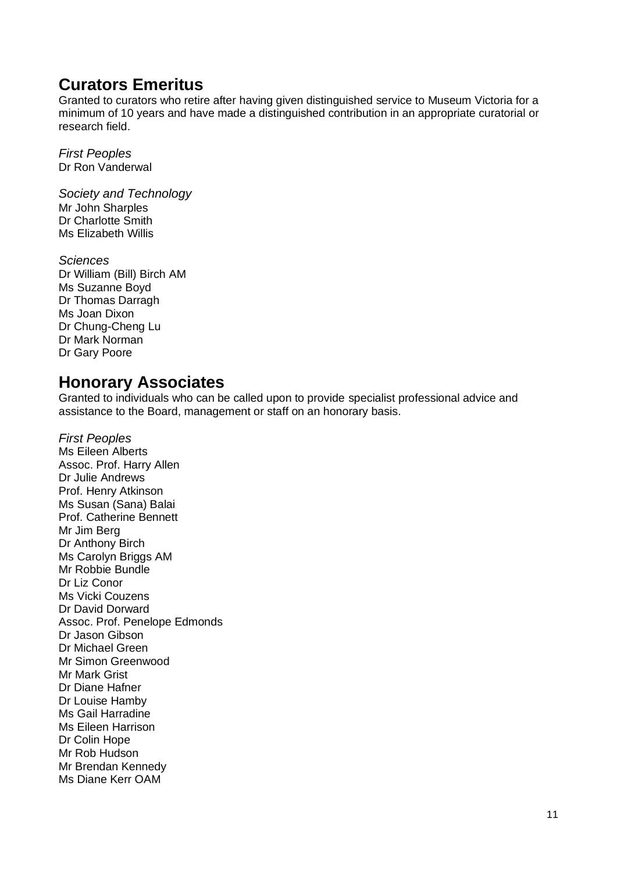### **Curators Emeritus**

Granted to curators who retire after having given distinguished service to Museum Victoria for a minimum of 10 years and have made a distinguished contribution in an appropriate curatorial or research field.

*First Peoples* Dr Ron Vanderwal

*Society and Technology* Mr John Sharples Dr Charlotte Smith Ms Elizabeth Willis

*Sciences* Dr William (Bill) Birch AM Ms Suzanne Boyd Dr Thomas Darragh Ms Joan Dixon Dr Chung-Cheng Lu Dr Mark Norman Dr Gary Poore

#### **Honorary Associates**

Granted to individuals who can be called upon to provide specialist professional advice and assistance to the Board, management or staff on an honorary basis.

*First Peoples* Ms Eileen Alberts Assoc. Prof. Harry Allen Dr Julie Andrews Prof. Henry Atkinson Ms Susan (Sana) Balai Prof. Catherine Bennett Mr Jim Berg Dr Anthony Birch Ms Carolyn Briggs AM Mr Robbie Bundle Dr Liz Conor Ms Vicki Couzens Dr David Dorward Assoc. Prof. Penelope Edmonds Dr Jason Gibson Dr Michael Green Mr Simon Greenwood Mr Mark Grist Dr Diane Hafner Dr Louise Hamby Ms Gail Harradine Ms Eileen Harrison Dr Colin Hope Mr Rob Hudson Mr Brendan Kennedy Ms Diane Kerr OAM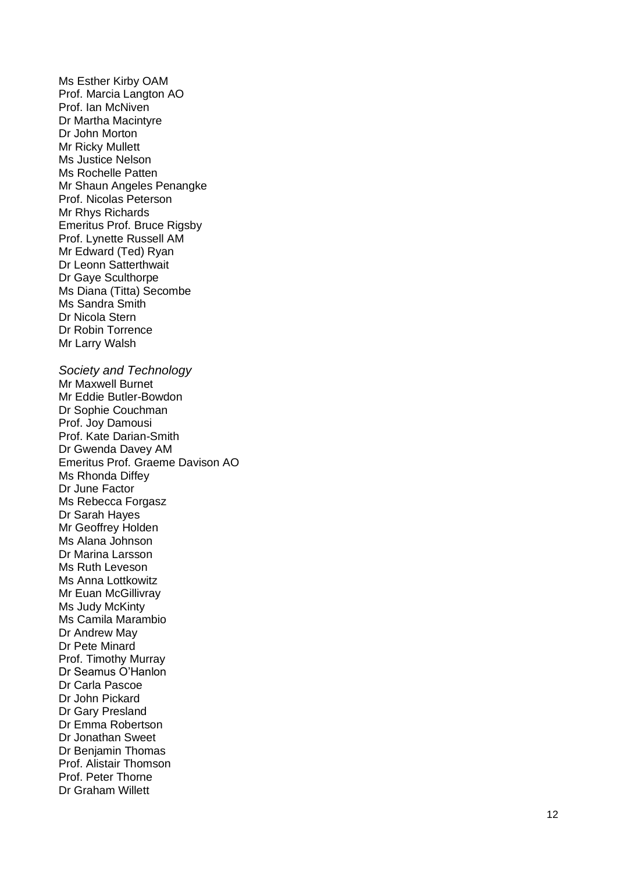Ms Esther Kirby OAM Prof. Marcia Langton AO Prof. Ian McNiven Dr Martha Macintyre Dr John Morton Mr Ricky Mullett Ms Justice Nelson Ms Rochelle Patten Mr Shaun Angeles Penangk e Prof. Nicolas Peterson Mr Rhys Richards Emeritus Prof. Bruce Rigsby Prof. Lynette Russell AM Mr Edward (Ted) Ryan Dr Leonn Satterthwait Dr Gaye Sculthorpe Ms Diana (Titta) Secombe Ms Sandra Smith Dr Nicola Stern Dr Robin Torrence Mr Larry Walsh *Society and Technology* Mr Maxwell Burnet Mr Eddie Butler -Bowdon Dr Sophie Couchman Prof. Joy Damousi Prof. Kate Darian -Smith Dr Gwenda Davey AM Emeritus Prof. Graeme Davison AO Ms Rhonda Diffey Dr June Factor Ms Rebecca Forgasz Dr Sarah Hayes Mr Geoffrey Holden Ms Alana Johnson Dr Marina Larsson Ms Ruth Leveson Ms Anna Lottkowitz Mr Euan McGillivray Ms Judy McKinty Ms Camila Marambio Dr Andrew May Dr Pete Minard Prof. Timothy Murray Dr Seamus O'Hanlon Dr Carla Pascoe

Dr John Pickard Dr Gary Presland Dr Emma Robertson Dr Jonathan Sweet Dr Benjamin Thomas Prof. Alistair Thomson Prof. Peter Thorne Dr Graham Willett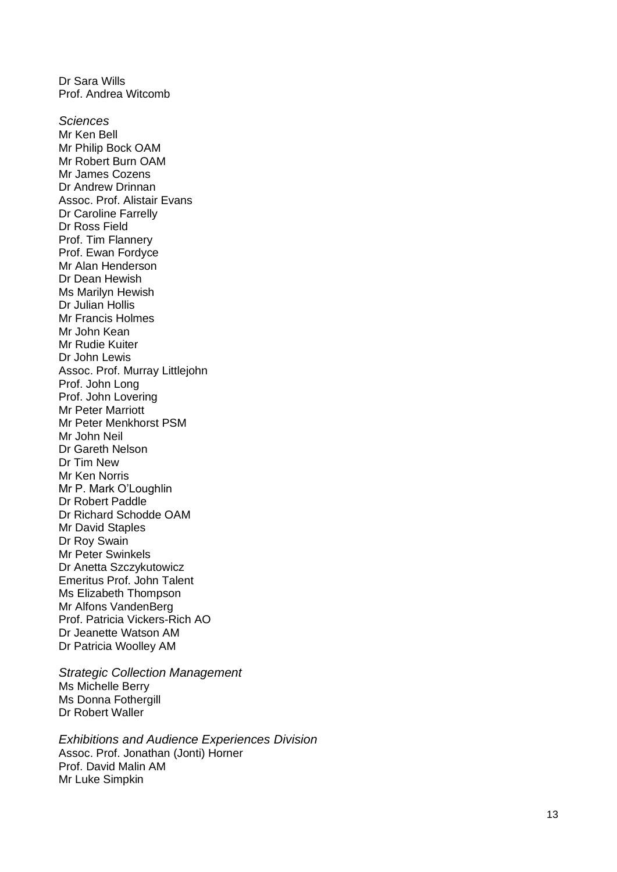Dr Sara Wills Prof. Andrea Witcomb *Sciences* Mr Ken Bell Mr Philip Bock OAM Mr Robert Burn OAM Mr James Cozens Dr Andrew Drinnan Assoc. Prof. Alistair Evans Dr Caroline Farrelly Dr Ross Field Prof. Tim Flannery Prof. Ewan Fordyce Mr Alan Henderson Dr Dean Hewish Ms Marilyn Hewish Dr Julian Hollis Mr Francis Holmes Mr John Kean Mr Rudie Kuiter Dr John Lewis Assoc. Prof. Murray Littlejohn Prof. John Long Prof. John Lovering Mr Peter Marriott Mr Peter Menkhorst PSM Mr John Neil Dr Gareth Nelson Dr Tim New Mr Ken Norris Mr P. Mark O'Loughlin Dr Robert Paddle Dr Richard Schodde OAM Mr David Staples Dr Roy Swain Mr Peter Swinkels Dr Anetta Szczykutowicz Emeritus Prof. John Talent Ms Elizabeth Thompson Mr Alfons VandenBerg Prof. Patricia Vickers -Rich AO Dr Jeanette Watson AM Dr Patricia Woolley AM

*Strategic Collection Management* Ms Michelle Berry Ms Donna Fothergill Dr Robert Waller

*Exhibitions and Audience Experiences Division* Assoc. Prof. Jonathan (Jonti) Horner Prof. David Malin AM Mr Luke Simpkin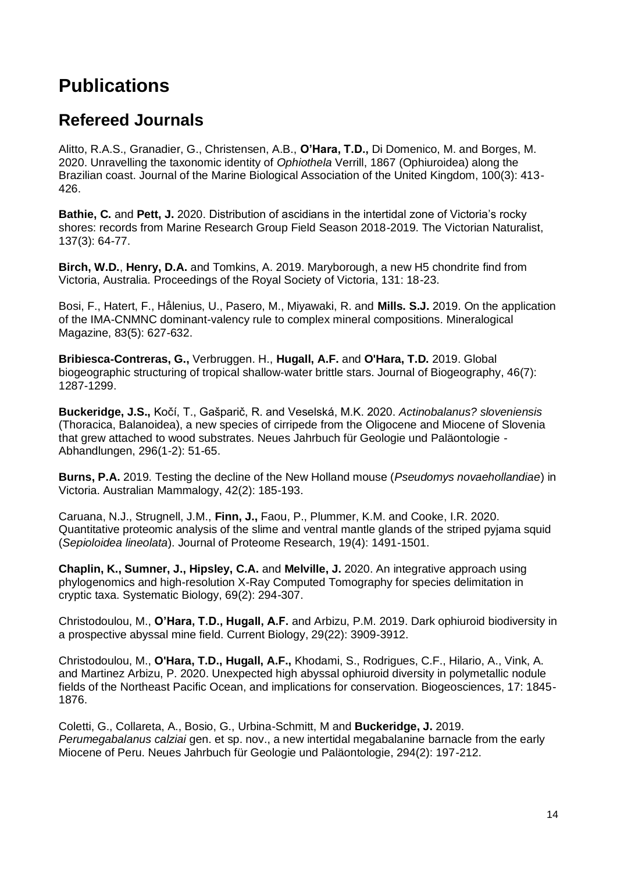# <span id="page-13-0"></span>**Publications**

### **Refereed Journals**

Alitto, R.A.S., Granadier, G., Christensen, A.B., **O'Hara, T.D.,** Di Domenico, M. and Borges, M. 2020. Unravelling the taxonomic identity of *Ophiothela* Verrill, 1867 (Ophiuroidea) along the Brazilian coast. Journal of the Marine Biological Association of the United Kingdom, 100(3): 413- 426.

**Bathie, C.** and **Pett, J.** 2020. Distribution of ascidians in the intertidal zone of Victoria's rocky shores: records from Marine Research Group Field Season 2018-2019. The Victorian Naturalist, 137(3): 64-77.

**Birch, W.D.**, **Henry, D.A.** and Tomkins, A. 2019. Maryborough, a new H5 chondrite find from Victoria, Australia. Proceedings of the Royal Society of Victoria, 131: 18-23.

Bosi, F., Hatert, F., Hålenius, U., Pasero, M., Miyawaki, R. and **Mills. S.J.** 2019. On the application of the IMA-CNMNC dominant-valency rule to complex mineral compositions. Mineralogical Magazine, 83(5): 627-632.

**Bribiesca**‐**Contreras, G.,** Verbruggen. H., **Hugall, A.F.** and **O'Hara, T.D.** 2019. Global biogeographic structuring of tropical shallow-water brittle stars. Journal of Biogeography, 46(7): 1287-1299.

**Buckeridge, J.S.,** Kočí, T., Gašparič, R. and Veselská, M.K. 2020. *Actinobalanus? sloveniensis* (Thoracica, Balanoidea), a new species of cirripede from the Oligocene and Miocene of Slovenia that grew attached to wood substrates. Neues Jahrbuch für Geologie und Paläontologie - Abhandlungen, 296(1-2): 51-65.

**Burns, P.A.** 2019. Testing the decline of the New Holland mouse (*Pseudomys novaehollandiae*) in Victoria. Australian Mammalogy, 42(2): 185-193.

Caruana, N.J., Strugnell, J.M., **Finn, J.,** Faou, P., Plummer, K.M. and Cooke, I.R. 2020. Quantitative proteomic analysis of the slime and ventral mantle glands of the striped pyjama squid (*Sepioloidea lineolata*). Journal of Proteome Research, 19(4): 1491-1501.

**Chaplin, K., Sumner, J., Hipsley, C.A.** and **Melville, J.** 2020. An integrative approach using phylogenomics and high-resolution X-Ray Computed Tomography for species delimitation in cryptic taxa. Systematic Biology, 69(2): 294-307.

Christodoulou, M., **O'Hara, T.D., Hugall, A.F.** and Arbizu, P.M. 2019. Dark ophiuroid biodiversity in a prospective abyssal mine field. Current Biology, 29(22): 3909-3912.

Christodoulou, M., **O'Hara, T.D., Hugall, A.F.,** Khodami, S., Rodrigues, C.F., Hilario, A., Vink, A. and Martinez Arbizu, P. 2020. Unexpected high abyssal ophiuroid diversity in polymetallic nodule fields of the Northeast Pacific Ocean, and implications for conservation. Biogeosciences, 17: 1845- 1876.

Coletti, G., Collareta, A., Bosio, G., Urbina-Schmitt, M and **Buckeridge, J.** 2019. *Perumegabalanus calziai* gen. et sp. nov., a new intertidal megabalanine barnacle from the early Miocene of Peru. Neues Jahrbuch für Geologie und Paläontologie, 294(2): 197-212.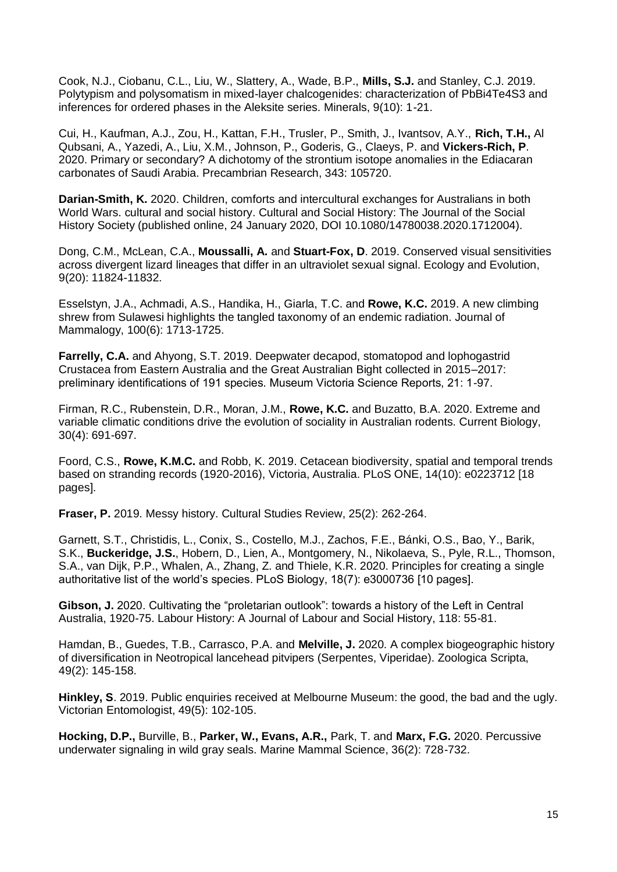Cook, N.J., Ciobanu, C.L., Liu, W., Slattery, A., Wade, B.P., **Mills, S.J.** and Stanley, C.J. 2019. Polytypism and polysomatism in mixed-layer chalcogenides: characterization of PbBi4Te4S3 and inferences for ordered phases in the Aleksite series. Minerals, 9(10): 1-21.

Cui, H., Kaufman, A.J., Zou, H., Kattan, F.H., Trusler, P., Smith, J., Ivantsov, A.Y., **Rich, T.H.,** Al Qubsani, A., Yazedi, A., Liu, X.M., Johnson, P., Goderis, G., Claeys, P. and **Vickers-Rich, P**. 2020. Primary or secondary? A dichotomy of the strontium isotope anomalies in the Ediacaran carbonates of Saudi Arabia. Precambrian Research, 343: 105720.

**Darian-Smith, K.** 2020. Children, comforts and intercultural exchanges for Australians in both World Wars. cultural and social history. Cultural and Social History: The Journal of the Social History Society (published online, 24 January 2020, DOI 10.1080/14780038.2020.1712004).

Dong, C.M., McLean, C.A., **Moussalli, A.** and **Stuart-Fox, D**. 2019. Conserved visual sensitivities across divergent lizard lineages that differ in an ultraviolet sexual signal. Ecology and Evolution, 9(20): 11824-11832.

Esselstyn, J.A., Achmadi, A.S., Handika, H., Giarla, T.C. and **Rowe, K.C.** 2019. A new climbing shrew from Sulawesi highlights the tangled taxonomy of an endemic radiation. Journal of Mammalogy, 100(6): 1713-1725.

**Farrelly, C.A.** and Ahyong, S.T. 2019. Deepwater decapod, stomatopod and lophogastrid Crustacea from Eastern Australia and the Great Australian Bight collected in 2015–2017: preliminary identifications of 191 species. Museum Victoria Science Reports, 21: 1-97.

Firman, R.C., Rubenstein, D.R., Moran, J.M., **Rowe, K.C.** and Buzatto, B.A. 2020. Extreme and variable climatic conditions drive the evolution of sociality in Australian rodents. Current Biology, 30(4): 691-697.

Foord, C.S., **Rowe, K.M.C.** and Robb, K. 2019. Cetacean biodiversity, spatial and temporal trends based on stranding records (1920-2016), Victoria, Australia. PLoS ONE, 14(10): e0223712 [18 pages].

**Fraser, P.** 2019. Messy history. Cultural Studies Review, 25(2): 262-264.

Garnett, S.T., Christidis, L., Conix, S., Costello, M.J., Zachos, F.E., Bánki, O.S., Bao, Y., Barik, S.K., **Buckeridge, J.S.**, Hobern, D., Lien, A., Montgomery, N., Nikolaeva, S., Pyle, R.L., Thomson, S.A., van Dijk, P.P., Whalen, A., Zhang, Z. and Thiele, K.R. 2020. Principles for creating a single authoritative list of the world's species. PLoS Biology, 18(7): e3000736 [10 pages].

**Gibson, J.** 2020. Cultivating the "proletarian outlook": towards a history of the Left in Central Australia, 1920-75. Labour History: A Journal of Labour and Social History, 118: 55-81.

Hamdan, B., Guedes, T.B., Carrasco, P.A. and **Melville, J.** 2020. A complex biogeographic history of diversification in Neotropical lancehead pitvipers (Serpentes, Viperidae). Zoologica Scripta, 49(2): 145-158.

**Hinkley, S**. 2019. Public enquiries received at Melbourne Museum: the good, the bad and the ugly. Victorian Entomologist, 49(5): 102-105.

**Hocking, D.P.,** Burville, B., **Parker, W., Evans, A.R.,** Park, T. and **Marx, F.G.** 2020. Percussive underwater signaling in wild gray seals. Marine Mammal Science, 36(2): 728-732.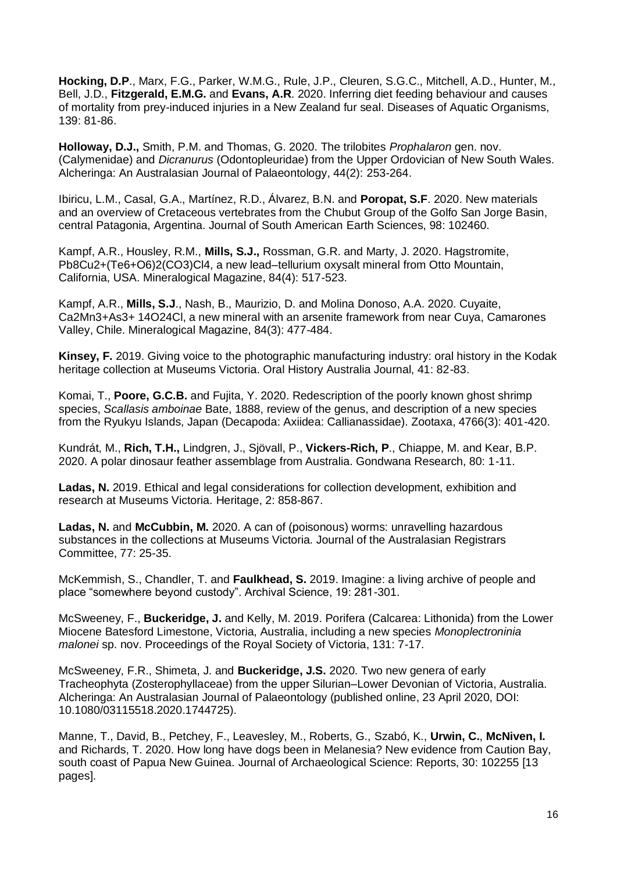**Hocking, D.P**., Marx, F.G., Parker, W.M.G., Rule, J.P., Cleuren, S.G.C., Mitchell, A.D., Hunter, M., Bell, J.D., **Fitzgerald, E.M.G.** and **Evans, A.R**. 2020. Inferring diet feeding behaviour and causes of mortality from prey-induced injuries in a New Zealand fur seal. Diseases of Aquatic Organisms, 139: 81-86.

**Holloway, D.J.,** Smith, P.M. and Thomas, G. 2020. The trilobites *Prophalaron* gen. nov. (Calymenidae) and *Dicranurus* (Odontopleuridae) from the Upper Ordovician of New South Wales. Alcheringa: An Australasian Journal of Palaeontology, 44(2): 253-264.

Ibiricu, L.M., Casal, G.A., Martínez, R.D., Álvarez, B.N. and **Poropat, S.F**. 2020. New materials and an overview of Cretaceous vertebrates from the Chubut Group of the Golfo San Jorge Basin, central Patagonia, Argentina. Journal of South American Earth Sciences, 98: 102460.

Kampf, A.R., Housley, R.M., **Mills, S.J.,** Rossman, G.R. and Marty, J. 2020. Hagstromite, Pb8Cu2+(Te6+O6)2(CO3)Cl4, a new lead–tellurium oxysalt mineral from Otto Mountain, California, USA. Mineralogical Magazine, 84(4): 517-523.

Kampf, A.R., **Mills, S.J**., Nash, B., Maurizio, D. and Molina Donoso, A.A. 2020. Cuyaite, Ca2Mn3+As3+ 14O24Cl, a new mineral with an arsenite framework from near Cuya, Camarones Valley, Chile. Mineralogical Magazine, 84(3): 477-484.

**Kinsey, F.** 2019. Giving voice to the photographic manufacturing industry: oral history in the Kodak heritage collection at Museums Victoria. Oral History Australia Journal, 41: 82-83.

Komai, T., **Poore, G.C.B.** and Fujita, Y. 2020. Redescription of the poorly known ghost shrimp species, *Scallasis amboinae* Bate, 1888, review of the genus, and description of a new species from the Ryukyu Islands, Japan (Decapoda: Axiidea: Callianassidae). Zootaxa, 4766(3): 401-420.

Kundrát, M., **Rich, T.H.,** Lindgren, J., Sjövall, P., **Vickers-Rich, P**., Chiappe, M. and Kear, B.P. 2020. A polar dinosaur feather assemblage from Australia. Gondwana Research, 80: 1-11.

**Ladas, N.** 2019. Ethical and legal considerations for collection development, exhibition and research at Museums Victoria. Heritage, 2: 858-867.

**Ladas, N.** and **McCubbin, M.** 2020. A can of (poisonous) worms: unravelling hazardous substances in the collections at Museums Victoria. Journal of the Australasian Registrars Committee, 77: 25-35.

McKemmish, S., Chandler, T. and **Faulkhead, S.** 2019. Imagine: a living archive of people and place "somewhere beyond custody". Archival Science, 19: 281-301.

McSweeney, F., **Buckeridge, J.** and Kelly, M. 2019. Porifera (Calcarea: Lithonida) from the Lower Miocene Batesford Limestone, Victoria, Australia, including a new species *Monoplectroninia malonei* sp. nov. Proceedings of the Royal Society of Victoria, 131: 7-17.

McSweeney, F.R., Shimeta, J. and **Buckeridge, J.S.** 2020. Two new genera of early Tracheophyta (Zosterophyllaceae) from the upper Silurian–Lower Devonian of Victoria, Australia. Alcheringa: An Australasian Journal of Palaeontology (published online, 23 April 2020, DOI: 10.1080/03115518.2020.1744725).

Manne, T., David, B., Petchey, F., Leavesley, M., Roberts, G., Szabó, K., **Urwin, C.**, **McNiven, I.** and Richards, T. 2020. How long have dogs been in Melanesia? New evidence from Caution Bay, south coast of Papua New Guinea. Journal of Archaeological Science: Reports, 30: 102255 [13 pages].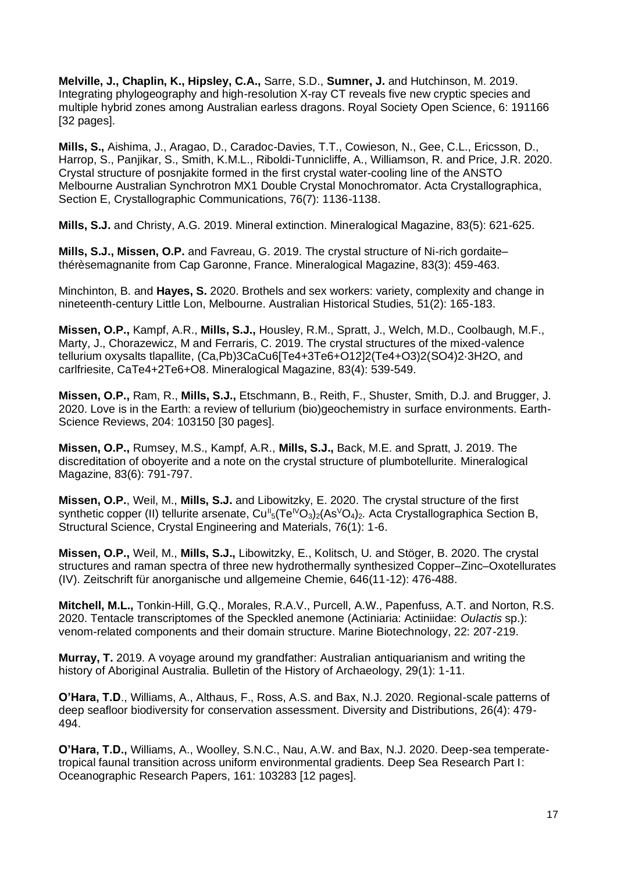**Melville, J., Chaplin, K., Hipsley, C.A.,** Sarre, S.D., **Sumner, J.** and Hutchinson, M. 2019. Integrating phylogeography and high-resolution X-ray CT reveals five new cryptic species and multiple hybrid zones among Australian earless dragons. Royal Society Open Science, 6: 191166 [32 pages].

**Mills, S.,** Aishima, J., Aragao, D., Caradoc-Davies, T.T., Cowieson, N., Gee, C.L., Ericsson, D., Harrop, S., Panjikar, S., Smith, K.M.L., Riboldi-Tunnicliffe, A., Williamson, R. and Price, J.R. 2020. Crystal structure of posnjakite formed in the first crystal water-cooling line of the ANSTO Melbourne Australian Synchrotron MX1 Double Crystal Monochromator. Acta Crystallographica, Section E, Crystallographic Communications, 76(7): 1136-1138.

**Mills, S.J.** and Christy, A.G. 2019. Mineral extinction. Mineralogical Magazine, 83(5): 621-625.

**Mills, S.J., Missen, O.P.** and Favreau, G. 2019. The crystal structure of Ni-rich gordaite– thérèsemagnanite from Cap Garonne, France. Mineralogical Magazine, 83(3): 459-463.

Minchinton, B. and **Hayes, S.** 2020. Brothels and sex workers: variety, complexity and change in nineteenth-century Little Lon, Melbourne. Australian Historical Studies, 51(2): 165-183.

**Missen, O.P.,** Kampf, A.R., **Mills, S.J.,** Housley, R.M., Spratt, J., Welch, M.D., Coolbaugh, M.F., Marty, J., Chorazewicz, M and Ferraris, C. 2019. The crystal structures of the mixed-valence tellurium oxysalts tlapallite, (Ca,Pb)3CaCu6[Te4+3Te6+O12]2(Te4+O3)2(SO4)2·3H2O, and carlfriesite, CaTe4+2Te6+O8. Mineralogical Magazine, 83(4): 539-549.

**Missen, O.P.,** Ram, R., **Mills, S.J.,** Etschmann, B., Reith, F., Shuster, Smith, D.J. and Brugger, J. 2020. Love is in the Earth: a review of tellurium (bio)geochemistry in surface environments. Earth-Science Reviews, 204: 103150 [30 pages].

**Missen, O.P.,** Rumsey, M.S., Kampf, A.R., **Mills, S.J.,** Back, M.E. and Spratt, J. 2019. The discreditation of oboyerite and a note on the crystal structure of plumbotellurite. Mineralogical Magazine, 83(6): 791-797.

**Missen, O.P.**, Weil, M., **Mills, S.J.** and Libowitzky, E. 2020. The crystal structure of the first synthetic copper (II) tellurite arsenate, Cu<sup>ll</sup><sub>5</sub>(Te<sup>lV</sup>O<sub>3</sub>)<sub>2</sub>(As<sup>V</sup>O<sub>4</sub>)<sub>2</sub>. Acta Crystallographica Section B, Structural Science, Crystal Engineering and Materials, 76(1): 1-6.

**Missen, O.P.,** Weil, M., **Mills, S.J.,** Libowitzky, E., Kolitsch, U. and Stöger, B. 2020. The crystal structures and raman spectra of three new hydrothermally synthesized Copper–Zinc–Oxotellurates (IV). Zeitschrift für anorganische und allgemeine Chemie, 646(11-12): 476-488.

**Mitchell, M.L.,** Tonkin-Hill, G.Q., Morales, R.A.V., Purcell, A.W., Papenfuss, A.T. and Norton, R.S. 2020. Tentacle transcriptomes of the Speckled anemone (Actiniaria: Actiniidae: *Oulactis* sp.): venom-related components and their domain structure. Marine Biotechnology, 22: 207-219.

**Murray, T.** 2019. A voyage around my grandfather: Australian antiquarianism and writing the history of Aboriginal Australia. Bulletin of the History of Archaeology, 29(1): 1-11.

**O'Hara, T.D**., Williams, A., Althaus, F., Ross, A.S. and Bax, N.J. 2020. Regional-scale patterns of deep seafloor biodiversity for conservation assessment. Diversity and Distributions, 26(4): 479- 494.

**O'Hara, T.D.,** Williams, A., Woolley, S.N.C., Nau, A.W. and Bax, N.J. 2020. Deep-sea temperatetropical faunal transition across uniform environmental gradients. Deep Sea Research Part I: Oceanographic Research Papers, 161: 103283 [12 pages].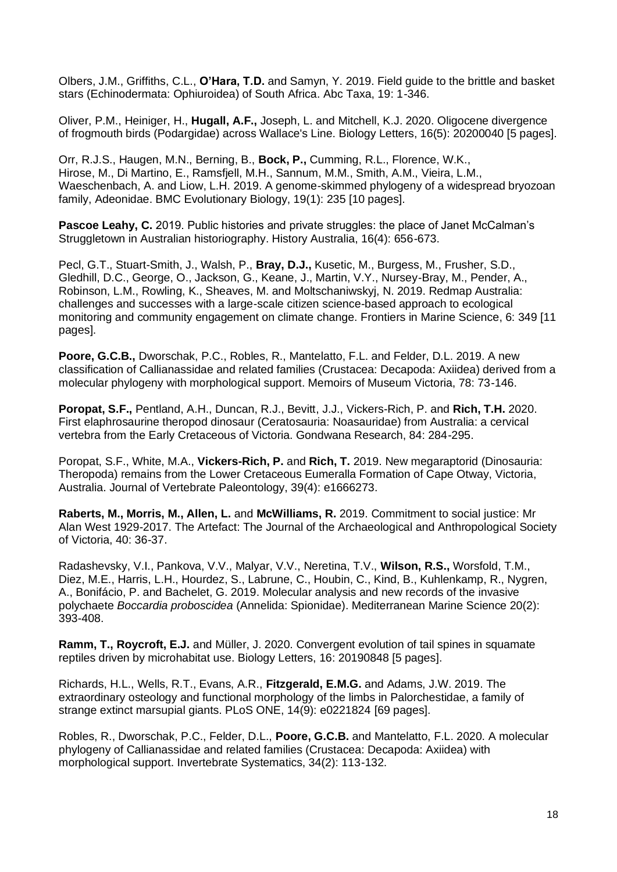Olbers, J.M., Griffiths, C.L., **O'Hara, T.D.** and Samyn, Y. 2019. Field guide to the brittle and basket stars (Echinodermata: Ophiuroidea) of South Africa. Abc Taxa, 19: 1-346.

Oliver, P.M., Heiniger, H., **Hugall, A.F.,** Joseph, L. and Mitchell, K.J. 2020. Oligocene divergence of frogmouth birds (Podargidae) across Wallace's Line. Biology Letters, 16(5): 20200040 [5 pages].

Orr, R.J.S., Haugen, M.N., Berning, B., **Bock, P.,** Cumming, R.L., Florence, W.K., Hirose, M., Di Martino, E., Ramsfjell, M.H., Sannum, M.M., Smith, A.M., Vieira, L.M., Waeschenbach, A. and Liow, L.H. 2019. A genome-skimmed phylogeny of a widespread bryozoan family, Adeonidae. BMC Evolutionary Biology, 19(1): 235 [10 pages].

**Pascoe Leahy, C.** 2019. Public histories and private struggles: the place of Janet McCalman's Struggletown in Australian historiography. History Australia, 16(4): 656-673.

Pecl, G.T., Stuart-Smith, J., Walsh, P., **Bray, D.J.,** Kusetic, M., Burgess, M., Frusher, S.D., Gledhill, D.C., George, O., Jackson, G., Keane, J., Martin, V.Y., Nursey-Bray, M., Pender, A., Robinson, L.M., Rowling, K., Sheaves, M. and Moltschaniwskyj, N. 2019. Redmap Australia: challenges and successes with a large-scale citizen science-based approach to ecological monitoring and community engagement on climate change. Frontiers in Marine Science, 6: 349 [11 pages].

**Poore, G.C.B.,** Dworschak, P.C., Robles, R., Mantelatto, F.L. and Felder, D.L. 2019. A new classification of Callianassidae and related families (Crustacea: Decapoda: Axiidea) derived from a molecular phylogeny with morphological support. Memoirs of Museum Victoria, 78: 73-146.

**Poropat, S.F.,** Pentland, A.H., Duncan, R.J., Bevitt, J.J., Vickers-Rich, P. and **Rich, T.H.** 2020. First elaphrosaurine theropod dinosaur (Ceratosauria: Noasauridae) from Australia: a cervical vertebra from the Early Cretaceous of Victoria. Gondwana Research, 84: 284-295.

Poropat, S.F., White, M.A., **Vickers-Rich, P.** and **Rich, T.** 2019. New megaraptorid (Dinosauria: Theropoda) remains from the Lower Cretaceous Eumeralla Formation of Cape Otway, Victoria, Australia. Journal of Vertebrate Paleontology, 39(4): e1666273.

**Raberts, M., Morris, M., Allen, L.** and **McWilliams, R.** 2019. Commitment to social justice: Mr Alan West 1929-2017. The Artefact: The Journal of the Archaeological and Anthropological Society of Victoria, 40: 36-37.

Radashevsky, V.I., Pankova, V.V., Malyar, V.V., Neretina, T.V., **Wilson, R.S.,** Worsfold, T.M., Diez, M.E., Harris, L.H., Hourdez, S., Labrune, C., Houbin, C., Kind, B., Kuhlenkamp, R., Nygren, A., Bonifácio, P. and Bachelet, G. 2019. Molecular analysis and new records of the invasive polychaete *Boccardia proboscidea* (Annelida: Spionidae). Mediterranean Marine Science 20(2): 393-408.

**Ramm, T., Rovcroft, E.J.** and Müller, J. 2020. Convergent evolution of tail spines in squamate reptiles driven by microhabitat use. Biology Letters, 16: 20190848 [5 pages].

Richards, H.L., Wells, R.T., Evans, A.R., **Fitzgerald, E.M.G.** and Adams, J.W. 2019. The extraordinary osteology and functional morphology of the limbs in Palorchestidae, a family of strange extinct marsupial giants. PLoS ONE, 14(9): e0221824 [69 pages].

Robles, R., Dworschak, P.C., Felder, D.L., **Poore, G.C.B.** and Mantelatto, F.L. 2020. A molecular phylogeny of Callianassidae and related families (Crustacea: Decapoda: Axiidea) with morphological support. Invertebrate Systematics, 34(2): 113-132.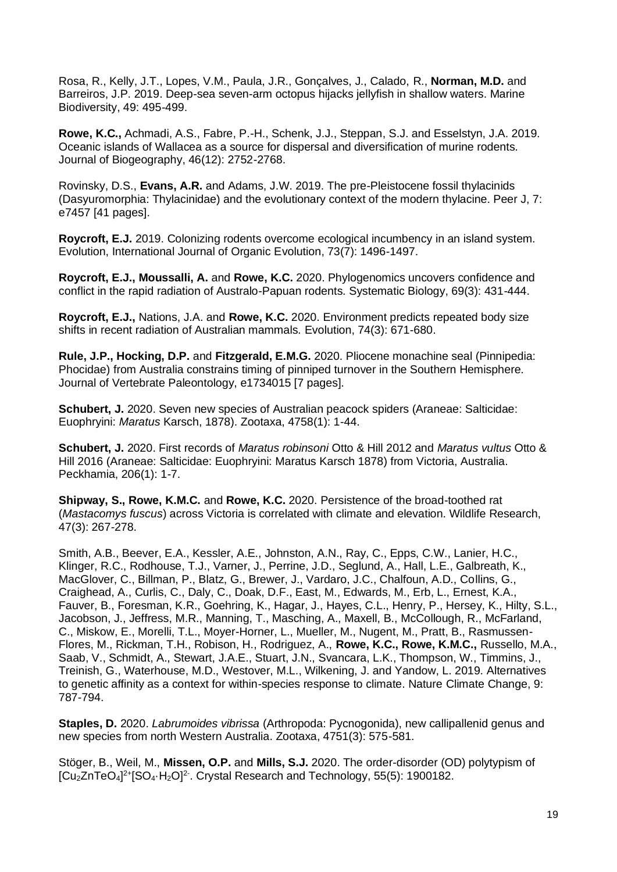Rosa, R., Kelly, J.T., Lopes, V.M., Paula, J.R., Gonçalves, J., Calado, R., **Norman, M.D.** and Barreiros, J.P. 2019. Deep-sea seven-arm octopus hijacks jellyfish in shallow waters. Marine Biodiversity, 49: 495-499.

**Rowe, K.C.,** Achmadi, A.S., Fabre, P.-H., Schenk, J.J., Steppan, S.J. and Esselstyn, J.A. 2019. Oceanic islands of Wallacea as a source for dispersal and diversification of murine rodents. Journal of Biogeography, 46(12): 2752-2768.

Rovinsky, D.S., **Evans, A.R.** and Adams, J.W. 2019. The pre-Pleistocene fossil thylacinids (Dasyuromorphia: Thylacinidae) and the evolutionary context of the modern thylacine. Peer J, 7: e7457 [41 pages].

**Roycroft, E.J.** 2019. Colonizing rodents overcome ecological incumbency in an island system. Evolution, International Journal of Organic Evolution, 73(7): 1496-1497.

**Roycroft, E.J., Moussalli, A.** and **Rowe, K.C.** 2020. Phylogenomics uncovers confidence and conflict in the rapid radiation of Australo-Papuan rodents. Systematic Biology, 69(3): 431-444.

**Roycroft, E.J.,** Nations, J.A. and **Rowe, K.C.** 2020. Environment predicts repeated body size shifts in recent radiation of Australian mammals. Evolution, 74(3): 671-680.

**Rule, J.P., Hocking, D.P.** and **Fitzgerald, E.M.G.** 2020. Pliocene monachine seal (Pinnipedia: Phocidae) from Australia constrains timing of pinniped turnover in the Southern Hemisphere. Journal of Vertebrate Paleontology, e1734015 [7 pages].

**Schubert, J.** 2020. Seven new species of Australian peacock spiders (Araneae: Salticidae: Euophryini: *Maratus* Karsch, 1878). Zootaxa, 4758(1): 1-44.

**Schubert, J.** 2020. First records of *Maratus robinsoni* Otto & Hill 2012 and *Maratus vultus* Otto & Hill 2016 (Araneae: Salticidae: Euophryini: Maratus Karsch 1878) from Victoria, Australia. Peckhamia, 206(1): 1-7.

**Shipway, S., Rowe, K.M.C.** and **Rowe, K.C.** 2020. Persistence of the broad-toothed rat (*Mastacomys fuscus*) across Victoria is correlated with climate and elevation. Wildlife Research, 47(3): 267-278.

Smith, A.B., Beever, E.A., Kessler, A.E., Johnston, A.N., Ray, C., Epps, C.W., Lanier, H.C., Klinger, R.C., Rodhouse, T.J., Varner, J., Perrine, J.D., Seglund, A., Hall, L.E., Galbreath, K., MacGlover, C., Billman, P., Blatz, G., Brewer, J., Vardaro, J.C., Chalfoun, A.D., Collins, G., Craighead, A., Curlis, C., Daly, C., Doak, D.F., East, M., Edwards, M., Erb, L., Ernest, K.A., Fauver, B., Foresman, K.R., Goehring, K., Hagar, J., Hayes, C.L., Henry, P., Hersey, K., Hilty, S.L., Jacobson, J., Jeffress, M.R., Manning, T., Masching, A., Maxell, B., McCollough, R., McFarland, C., Miskow, E., Morelli, T.L., Moyer-Horner, L., Mueller, M., Nugent, M., Pratt, B., Rasmussen-Flores, M., Rickman, T.H., Robison, H., Rodriguez, A., **Rowe, K.C., Rowe, K.M.C.,** Russello, M.A., Saab, V., Schmidt, A., Stewart, J.A.E., Stuart, J.N., Svancara, L.K., Thompson, W., Timmins, J., Treinish, G., Waterhouse, M.D., Westover, M.L., Wilkening, J. and Yandow, L. 2019. Alternatives to genetic affinity as a context for within-species response to climate. Nature Climate Change, 9: 787-794.

**Staples, D.** 2020. *Labrumoides vibrissa* (Arthropoda: Pycnogonida), new callipallenid genus and new species from north Western Australia. Zootaxa, 4751(3): 575-581.

Stöger, B., Weil, M., **Missen, O.P.** and **Mills, S.J.** 2020. The order-disorder (OD) polytypism of [Cu<sub>2</sub>ZnTeO<sub>4</sub>]<sup>2+</sup>[SO<sub>4</sub>·H<sub>2</sub>O]<sup>2</sup>. Crystal Research and Technology, 55(5): 1900182.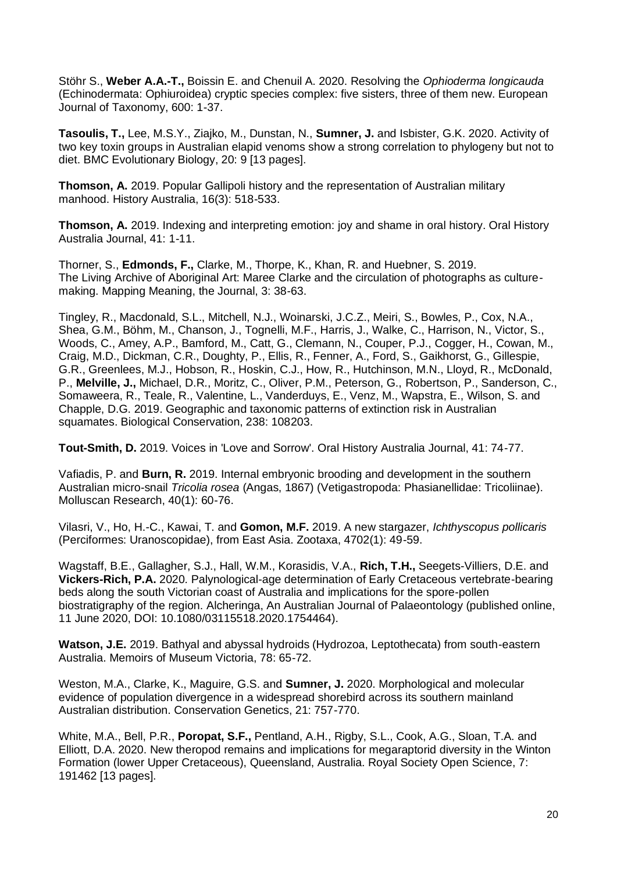Stöhr S., **Weber A.A.-T.,** Boissin E. and Chenuil A. 2020. Resolving the *Ophioderma longicauda* (Echinodermata: Ophiuroidea) cryptic species complex: five sisters, three of them new. European Journal of Taxonomy, 600: 1-37.

**Tasoulis, T.,** Lee, M.S.Y., Ziajko, M., Dunstan, N., **Sumner, J.** and Isbister, G.K. 2020. Activity of two key toxin groups in Australian elapid venoms show a strong correlation to phylogeny but not to diet. BMC Evolutionary Biology, 20: 9 [13 pages].

**Thomson, A.** 2019. Popular Gallipoli history and the representation of Australian military manhood. History Australia, 16(3): 518-533.

**Thomson, A.** 2019. Indexing and interpreting emotion: joy and shame in oral history. Oral History Australia Journal, 41: 1-11.

Thorner, S., **Edmonds, F.,** Clarke, M., Thorpe, K., Khan, R. and Huebner, S. 2019. The Living Archive of Aboriginal Art: Maree Clarke and the circulation of photographs as culturemaking. Mapping Meaning, the Journal, 3: 38-63.

Tingley, R., Macdonald, S.L., Mitchell, N.J., Woinarski, J.C.Z., Meiri, S., Bowles, P., Cox, N.A., Shea, G.M., Böhm, M., Chanson, J., Tognelli, M.F., Harris, J., Walke, C., Harrison, N., Victor, S., Woods, C., Amey, A.P., Bamford, M., Catt, G., Clemann, N., Couper, P.J., Cogger, H., Cowan, M., Craig, M.D., Dickman, C.R., Doughty, P., Ellis, R., Fenner, A., Ford, S., Gaikhorst, G., Gillespie, G.R., Greenlees, M.J., Hobson, R., Hoskin, C.J., How, R., Hutchinson, M.N., Lloyd, R., McDonald, P., **Melville, J.,** Michael, D.R., Moritz, C., Oliver, P.M., Peterson, G., Robertson, P., Sanderson, C., Somaweera, R., Teale, R., Valentine, L., Vanderduys, E., Venz, M., Wapstra, E., Wilson, S. and Chapple, D.G. 2019. Geographic and taxonomic patterns of extinction risk in Australian squamates. Biological Conservation, 238: 108203.

**Tout-Smith, D.** 2019. Voices in 'Love and Sorrow'. Oral History Australia Journal, 41: 74-77.

Vafiadis, P. and **Burn, R.** 2019. Internal embryonic brooding and development in the southern Australian micro-snail *Tricolia rosea* (Angas, 1867) (Vetigastropoda: Phasianellidae: Tricoliinae). Molluscan Research, 40(1): 60-76.

Vilasri, V., Ho, H.-C., Kawai, T. and **Gomon, M.F.** 2019. A new stargazer, *Ichthyscopus pollicaris* (Perciformes: Uranoscopidae), from East Asia. Zootaxa, 4702(1): 49-59.

Wagstaff, B.E., Gallagher, S.J., Hall, W.M., Korasidis, V.A., **Rich, T.H.,** Seegets-Villiers, D.E. and **Vickers-Rich, P.A.** 2020*.* Palynological-age determination of Early Cretaceous vertebrate-bearing beds along the south Victorian coast of Australia and implications for the spore-pollen biostratigraphy of the region. Alcheringa, An Australian Journal of Palaeontology (published online, 11 June 2020, DOI: 10.1080/03115518.2020.1754464).

**Watson, J.E.** 2019. Bathyal and abyssal hydroids (Hydrozoa, Leptothecata) from south-eastern Australia. Memoirs of Museum Victoria, 78: 65-72.

Weston, M.A., Clarke, K., Maguire, G.S. and **Sumner, J.** 2020. Morphological and molecular evidence of population divergence in a widespread shorebird across its southern mainland Australian distribution. Conservation Genetics, 21: 757-770.

White, M.A., Bell, P.R., **Poropat, S.F.,** Pentland, A.H., Rigby, S.L., Cook, A.G., Sloan, T.A. and Elliott, D.A. 2020. New theropod remains and implications for megaraptorid diversity in the Winton Formation (lower Upper Cretaceous), Queensland, Australia. Royal Society Open Science, 7: 191462 [13 pages].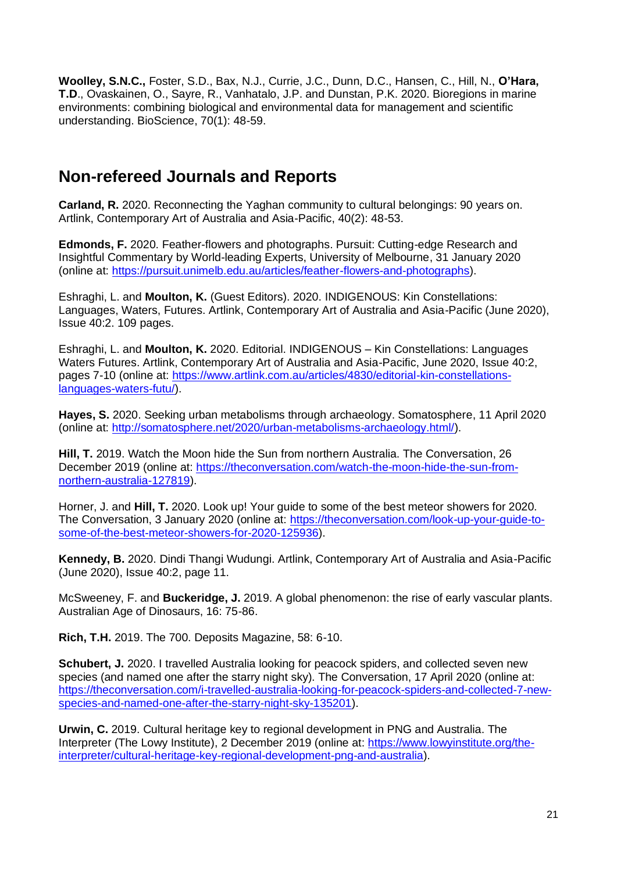**Woolley, S.N.C.,** Foster, S.D., Bax, N.J., Currie, J.C., Dunn, D.C., Hansen, C., Hill, N., **O'Hara, T.D**., Ovaskainen, O., Sayre, R., Vanhatalo, J.P. and Dunstan, P.K. 2020. Bioregions in marine environments: combining biological and environmental data for management and scientific understanding. BioScience, 70(1): 48-59.

### **Non-refereed Journals and Reports**

**Carland, R.** 2020. Reconnecting the Yaghan community to cultural belongings: 90 years on. Artlink, Contemporary Art of Australia and Asia-Pacific, 40(2): 48-53.

**Edmonds, F.** 2020. Feather-flowers and photographs. Pursuit: Cutting-edge Research and Insightful Commentary by World-leading Experts, University of Melbourne, 31 January 2020 (online at: [https://pursuit.unimelb.edu.au/articles/feather-flowers-and-photographs\)](https://pursuit.unimelb.edu.au/articles/feather-flowers-and-photographs).

Eshraghi, L. and **Moulton, K.** (Guest Editors). 2020. INDIGENOUS: Kin Constellations: Languages, Waters, Futures. Artlink, Contemporary Art of Australia and Asia-Pacific (June 2020), Issue 40:2. 109 pages.

Eshraghi, L. and **Moulton, K.** 2020. Editorial. INDIGENOUS – Kin Constellations: Languages Waters Futures. Artlink, Contemporary Art of Australia and Asia-Pacific, June 2020, Issue 40:2, pages 7-10 (online at: [https://www.artlink.com.au/articles/4830/editorial-kin-constellations](https://www.artlink.com.au/articles/4830/editorial-kin-constellations-languages-waters-futu/)[languages-waters-futu/\)](https://www.artlink.com.au/articles/4830/editorial-kin-constellations-languages-waters-futu/).

**Hayes, S.** 2020. Seeking urban metabolisms through archaeology. Somatosphere, 11 April 2020 (online at: [http://somatosphere.net/2020/urban-metabolisms-archaeology.html/\)](http://somatosphere.net/2020/urban-metabolisms-archaeology.html/).

**Hill, T.** 2019. Watch the Moon hide the Sun from northern Australia. The Conversation, 26 December 2019 (online at: [https://theconversation.com/watch-the-moon-hide-the-sun-from](https://theconversation.com/watch-the-moon-hide-the-sun-from-northern-australia-127819)[northern-australia-127819\)](https://theconversation.com/watch-the-moon-hide-the-sun-from-northern-australia-127819).

Horner, J. and **Hill, T.** 2020. Look up! Your guide to some of the best meteor showers for 2020. The Conversation, 3 January 2020 (online at: [https://theconversation.com/look-up-your-guide-to](https://theconversation.com/look-up-your-guide-to-some-of-the-best-meteor-showers-for-2020-125936)[some-of-the-best-meteor-showers-for-2020-125936\)](https://theconversation.com/look-up-your-guide-to-some-of-the-best-meteor-showers-for-2020-125936).

**Kennedy, B.** 2020. Dindi Thangi Wudungi. Artlink, Contemporary Art of Australia and Asia-Pacific (June 2020), Issue 40:2, page 11.

McSweeney, F. and **Buckeridge, J.** 2019. A global phenomenon: the rise of early vascular plants. Australian Age of Dinosaurs, 16: 75-86.

**Rich, T.H.** 2019. The 700. Deposits Magazine, 58: 6-10.

**Schubert, J.** 2020. I travelled Australia looking for peacock spiders, and collected seven new species (and named one after the starry night sky). The Conversation, 17 April 2020 (online at: [https://theconversation.com/i-travelled-australia-looking-for-peacock-spiders-and-collected-7-new](https://theconversation.com/i-travelled-australia-looking-for-peacock-spiders-and-collected-7-new-species-and-named-one-after-the-starry-night-sky-135201)[species-and-named-one-after-the-starry-night-sky-135201\)](https://theconversation.com/i-travelled-australia-looking-for-peacock-spiders-and-collected-7-new-species-and-named-one-after-the-starry-night-sky-135201).

**Urwin, C.** 2019. Cultural heritage key to regional development in PNG and Australia. The Interpreter (The Lowy Institute), 2 December 2019 (online at: [https://www.lowyinstitute.org/the](https://www.lowyinstitute.org/the-interpreter/cultural-heritage-key-regional-development-png-and-australia)[interpreter/cultural-heritage-key-regional-development-png-and-australia\)](https://www.lowyinstitute.org/the-interpreter/cultural-heritage-key-regional-development-png-and-australia).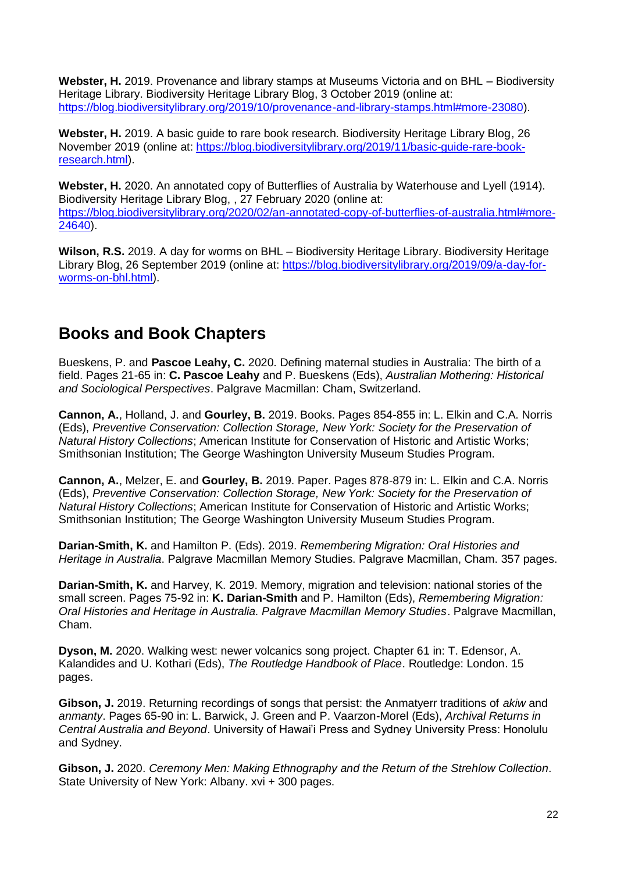**Webster, H.** 2019. Provenance and library stamps at Museums Victoria and on BHL – Biodiversity Heritage Library. Biodiversity Heritage Library Blog, 3 October 2019 (online at: [https://blog.biodiversitylibrary.org/2019/10/provenance-and-library-stamps.html#more-23080\)](https://blog.biodiversitylibrary.org/2019/10/provenance-and-library-stamps.html#more-23080).

**Webster, H.** 2019. A basic guide to rare book research. Biodiversity Heritage Library Blog, 26 November 2019 (online at: [https://blog.biodiversitylibrary.org/2019/11/basic-guide-rare-book](https://blog.biodiversitylibrary.org/2019/11/basic-guide-rare-book-research.html)[research.html\)](https://blog.biodiversitylibrary.org/2019/11/basic-guide-rare-book-research.html).

**Webster, H.** 2020. An annotated copy of Butterflies of Australia by Waterhouse and Lyell (1914). Biodiversity Heritage Library Blog, , 27 February 2020 (online at: [https://blog.biodiversitylibrary.org/2020/02/an-annotated-copy-of-butterflies-of-australia.html#more-](https://blog.biodiversitylibrary.org/2020/02/an-annotated-copy-of-butterflies-of-australia.html#more-24640)[24640\)](https://blog.biodiversitylibrary.org/2020/02/an-annotated-copy-of-butterflies-of-australia.html#more-24640).

**Wilson, R.S.** 2019. A day for worms on BHL – Biodiversity Heritage Library. Biodiversity Heritage Library Blog, 26 September 2019 (online at: [https://blog.biodiversitylibrary.org/2019/09/a-day-for](https://blog.biodiversitylibrary.org/2019/09/a-day-for-worms-on-bhl.html)[worms-on-bhl.html\)](https://blog.biodiversitylibrary.org/2019/09/a-day-for-worms-on-bhl.html).

### **Books and Book Chapters**

Bueskens, P. and **Pascoe Leahy, C.** 2020. Defining maternal studies in Australia: The birth of a field. Pages 21-65 in: **C. Pascoe Leahy** and P. Bueskens (Eds), *Australian Mothering: Historical and Sociological Perspectives*. Palgrave Macmillan: Cham, Switzerland.

**Cannon, A.**, Holland, J. and **Gourley, B.** 2019. Books. Pages 854-855 in: L. Elkin and C.A. Norris (Eds), *Preventive Conservation: Collection Storage, New York: Society for the Preservation of Natural History Collections*; American Institute for Conservation of Historic and Artistic Works; Smithsonian Institution; The George Washington University Museum Studies Program.

**Cannon, A.**, Melzer, E. and **Gourley, B.** 2019. Paper. Pages 878-879 in: L. Elkin and C.A. Norris (Eds), *Preventive Conservation: Collection Storage, New York: Society for the Preservation of Natural History Collections*; American Institute for Conservation of Historic and Artistic Works; Smithsonian Institution; The George Washington University Museum Studies Program.

**Darian-Smith, K.** and Hamilton P. (Eds). 2019. *Remembering Migration: Oral Histories and Heritage in Australia*. Palgrave Macmillan Memory Studies. Palgrave Macmillan, Cham. 357 pages.

**Darian-Smith, K.** and Harvey, K. 2019. Memory, migration and television: national stories of the small screen. Pages 75-92 in: **K. Darian-Smith** and P. Hamilton (Eds), *Remembering Migration: Oral Histories and Heritage in Australia. Palgrave Macmillan Memory Studies*. Palgrave Macmillan, Cham.

**Dyson, M.** 2020. Walking west: newer volcanics song project. Chapter 61 in: T. Edensor, A. Kalandides and U. Kothari (Eds), *The Routledge Handbook of Place*. Routledge: London. 15 pages.

**Gibson, J.** 2019. Returning recordings of songs that persist: the Anmatyerr traditions of *akiw* and *anmanty*. Pages 65-90 in: L. Barwick, J. Green and P. Vaarzon-Morel (Eds), *Archival Returns in Central Australia and Beyond*. University of Hawai'i Press and Sydney University Press: Honolulu and Sydney.

**Gibson, J.** 2020. *Ceremony Men: Making Ethnography and the Return of the Strehlow Collection*. State University of New York: Albany. xvi + 300 pages.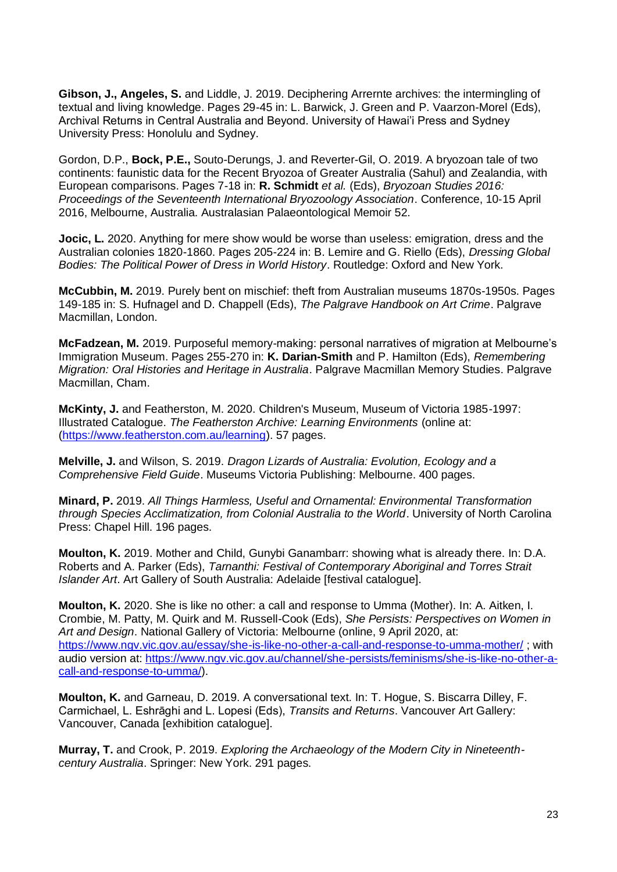**Gibson, J., Angeles, S.** and Liddle, J. 2019. Deciphering Arrernte archives: the intermingling of textual and living knowledge. Pages 29-45 in: L. Barwick, J. Green and P. Vaarzon-Morel (Eds), Archival Returns in Central Australia and Beyond. University of Hawai'i Press and Sydney University Press: Honolulu and Sydney.

Gordon, D.P., **Bock, P.E.,** Souto-Derungs, J. and Reverter-Gil, O. 2019. A bryozoan tale of two continents: faunistic data for the Recent Bryozoa of Greater Australia (Sahul) and Zealandia, with European comparisons. Pages 7-18 in: **R. Schmidt** *et al.* (Eds), *Bryozoan Studies 2016: Proceedings of the Seventeenth International Bryozoology Association*. Conference, 10‐15 April 2016, Melbourne, Australia. Australasian Palaeontological Memoir 52.

**Jocic, L.** 2020. Anything for mere show would be worse than useless: emigration, dress and the Australian colonies 1820-1860. Pages 205-224 in: B. Lemire and G. Riello (Eds), *Dressing Global Bodies: The Political Power of Dress in World History*. Routledge: Oxford and New York.

**McCubbin, M.** 2019. Purely bent on mischief: theft from Australian museums 1870s-1950s. Pages 149-185 in: S. Hufnagel and D. Chappell (Eds), *The Palgrave Handbook on Art Crime*. Palgrave Macmillan, London.

**McFadzean, M.** 2019. Purposeful memory-making: personal narratives of migration at Melbourne's Immigration Museum. Pages 255-270 in: **K. Darian-Smith** and P. Hamilton (Eds), *Remembering Migration: Oral Histories and Heritage in Australia*. Palgrave Macmillan Memory Studies. Palgrave Macmillan, Cham.

**McKinty, J.** and Featherston, M. 2020. Children's Museum, Museum of Victoria 1985-1997: Illustrated Catalogue. *The Featherston Archive: Learning Environments* (online at: [\(https://www.featherston.com.au/learning\)](https://www.featherston.com.au/learning). 57 pages.

**Melville, J.** and Wilson, S. 2019. *Dragon Lizards of Australia: Evolution, Ecology and a Comprehensive Field Guide*. Museums Victoria Publishing: Melbourne. 400 pages.

**Minard, P.** 2019. *All Things Harmless, Useful and Ornamental: Environmental Transformation through Species Acclimatization, from Colonial Australia to the World*. University of North Carolina Press: Chapel Hill. 196 pages.

**Moulton, K.** 2019. Mother and Child, Gunybi Ganambarr: showing what is already there. In: D.A. Roberts and A. Parker (Eds), *Tarnanthi: Festival of Contemporary Aboriginal and Torres Strait Islander Art*. Art Gallery of South Australia: Adelaide [festival catalogue].

**Moulton, K.** 2020. She is like no other: a call and response to Umma (Mother). In: A. Aitken, I. Crombie, M. Patty, M. Quirk and M. Russell-Cook (Eds), *She Persists: Perspectives on Women in Art and Design*. National Gallery of Victoria: Melbourne (online, 9 April 2020, at: <https://www.ngv.vic.gov.au/essay/she-is-like-no-other-a-call-and-response-to-umma-mother/> ; with audio version at: [https://www.ngv.vic.gov.au/channel/she-persists/feminisms/she-is-like-no-other-a](https://www.ngv.vic.gov.au/channel/she-persists/feminisms/she-is-like-no-other-a-call-and-response-to-umma/)[call-and-response-to-umma/\)](https://www.ngv.vic.gov.au/channel/she-persists/feminisms/she-is-like-no-other-a-call-and-response-to-umma/).

**Moulton, K.** and Garneau, D. 2019. A conversational text. In: T. Hogue, S. Biscarra Dilley, F. Carmichael, L. Eshrāghi and L. Lopesi (Eds), *Transits and Returns*. Vancouver Art Gallery: Vancouver, Canada [exhibition catalogue].

**Murray, T.** and Crook, P. 2019. *Exploring the Archaeology of the Modern City in Nineteenthcentury Australia*. Springer: New York. 291 pages.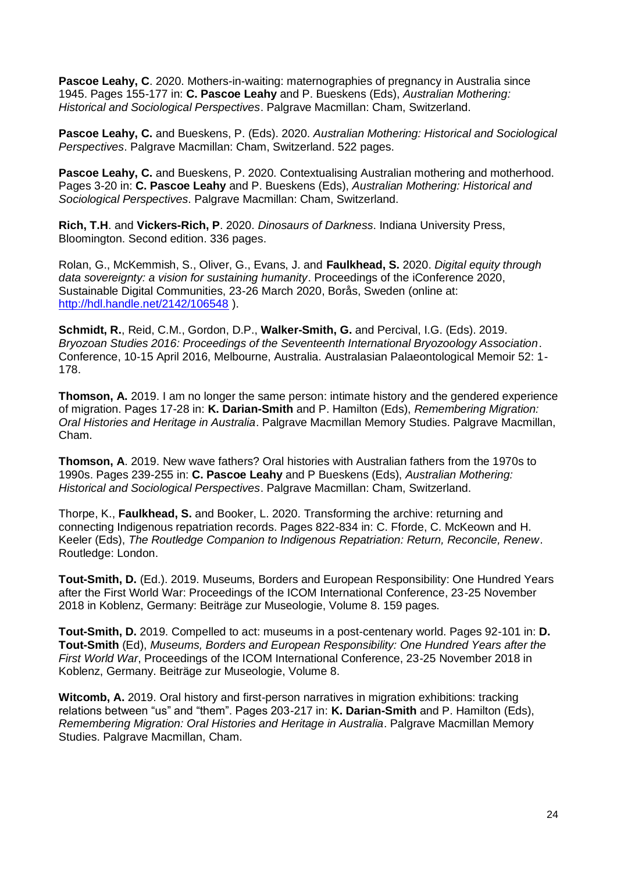**Pascoe Leahy, C**. 2020. Mothers-in-waiting: maternographies of pregnancy in Australia since 1945. Pages 155-177 in: **C. Pascoe Leahy** and P. Bueskens (Eds), *Australian Mothering: Historical and Sociological Perspectives*. Palgrave Macmillan: Cham, Switzerland.

**Pascoe Leahy, C.** and Bueskens, P. (Eds). 2020. *Australian Mothering: Historical and Sociological Perspectives*. Palgrave Macmillan: Cham, Switzerland. 522 pages.

**Pascoe Leahy, C.** and Bueskens, P. 2020. Contextualising Australian mothering and motherhood. Pages 3-20 in: **C. Pascoe Leahy** and P. Bueskens (Eds), *Australian Mothering: Historical and Sociological Perspectives*. Palgrave Macmillan: Cham, Switzerland.

**Rich, T.H**. and **Vickers-Rich, P**. 2020. *Dinosaurs of Darkness*. Indiana University Press, Bloomington. Second edition. 336 pages.

Rolan, G., McKemmish, S., Oliver, G., Evans, J. and **Faulkhead, S.** 2020. *Digital equity through data sovereignty: a vision for sustaining humanity*. Proceedings of the iConference 2020, Sustainable Digital Communities, 23-26 March 2020, Borås, Sweden (online at: <http://hdl.handle.net/2142/106548> ).

**Schmidt, R.**, Reid, C.M., Gordon, D.P., **Walker-Smith, G.** and Percival, I.G. (Eds). 2019. *Bryozoan Studies 2016: Proceedings of the Seventeenth International Bryozoology Association*. Conference, 10‐15 April 2016, Melbourne, Australia. Australasian Palaeontological Memoir 52: 1- 178.

**Thomson, A.** 2019. I am no longer the same person: intimate history and the gendered experience of migration. Pages 17-28 in: **K. Darian-Smith** and P. Hamilton (Eds), *Remembering Migration: Oral Histories and Heritage in Australia*. Palgrave Macmillan Memory Studies. Palgrave Macmillan, Cham.

**Thomson, A**. 2019. New wave fathers? Oral histories with Australian fathers from the 1970s to 1990s. Pages 239-255 in: **C. Pascoe Leahy** and P Bueskens (Eds), *Australian Mothering: Historical and Sociological Perspectives*. Palgrave Macmillan: Cham, Switzerland.

Thorpe, K., **Faulkhead, S.** and Booker, L. 2020. Transforming the archive: returning and connecting Indigenous repatriation records. Pages 822-834 in: C. Fforde, C. McKeown and H. Keeler (Eds), *The Routledge Companion to Indigenous Repatriation: Return, Reconcile, Renew*. Routledge: London.

**Tout-Smith, D.** (Ed.). 2019. Museums, Borders and European Responsibility: One Hundred Years after the First World War: Proceedings of the ICOM International Conference, 23-25 November 2018 in Koblenz, Germany: Beiträge zur Museologie, Volume 8. 159 pages.

**Tout-Smith, D.** 2019. Compelled to act: museums in a post-centenary world. Pages 92-101 in: **D. Tout-Smith** (Ed), *Museums, Borders and European Responsibility: One Hundred Years after the First World War*, Proceedings of the ICOM International Conference, 23-25 November 2018 in Koblenz, Germany. Beiträge zur Museologie, Volume 8.

**Witcomb, A.** 2019. Oral history and first-person narratives in migration exhibitions: tracking relations between "us" and "them". Pages 203-217 in: **K. Darian-Smith** and P. Hamilton (Eds), *Remembering Migration: Oral Histories and Heritage in Australia*. Palgrave Macmillan Memory Studies. Palgrave Macmillan, Cham.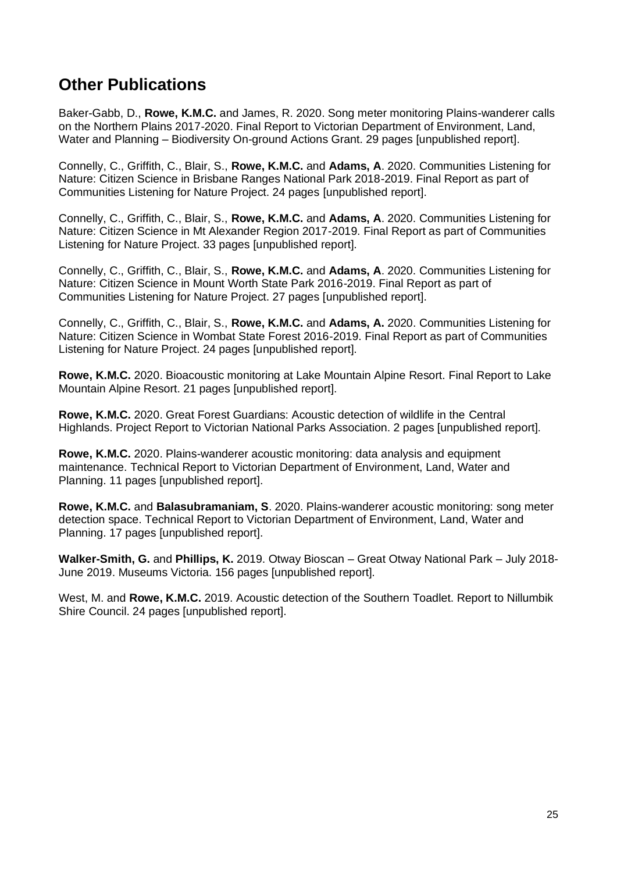### **Other Publications**

Baker-Gabb, D., **Rowe, K.M.C.** and James, R. 2020. Song meter monitoring Plains-wanderer calls on the Northern Plains 2017-2020. Final Report to Victorian Department of Environment, Land, Water and Planning – Biodiversity On-ground Actions Grant. 29 pages [unpublished report].

Connelly, C., Griffith, C., Blair, S., **Rowe, K.M.C.** and **Adams, A**. 2020. Communities Listening for Nature: Citizen Science in Brisbane Ranges National Park 2018-2019. Final Report as part of Communities Listening for Nature Project. 24 pages [unpublished report].

Connelly, C., Griffith, C., Blair, S., **Rowe, K.M.C.** and **Adams, A**. 2020. Communities Listening for Nature: Citizen Science in Mt Alexander Region 2017-2019. Final Report as part of Communities Listening for Nature Project. 33 pages [unpublished report].

Connelly, C., Griffith, C., Blair, S., **Rowe, K.M.C.** and **Adams, A**. 2020. Communities Listening for Nature: Citizen Science in Mount Worth State Park 2016-2019. Final Report as part of Communities Listening for Nature Project. 27 pages [unpublished report].

Connelly, C., Griffith, C., Blair, S., **Rowe, K.M.C.** and **Adams, A.** 2020. Communities Listening for Nature: Citizen Science in Wombat State Forest 2016-2019. Final Report as part of Communities Listening for Nature Project. 24 pages [unpublished report].

**Rowe, K.M.C.** 2020. Bioacoustic monitoring at Lake Mountain Alpine Resort. Final Report to Lake Mountain Alpine Resort. 21 pages [unpublished report].

**Rowe, K.M.C.** 2020. Great Forest Guardians: Acoustic detection of wildlife in the Central Highlands. Project Report to Victorian National Parks Association. 2 pages [unpublished report].

**Rowe, K.M.C.** 2020. Plains-wanderer acoustic monitoring: data analysis and equipment maintenance. Technical Report to Victorian Department of Environment, Land, Water and Planning. 11 pages [unpublished report].

**Rowe, K.M.C.** and **Balasubramaniam, S**. 2020. Plains-wanderer acoustic monitoring: song meter detection space. Technical Report to Victorian Department of Environment, Land, Water and Planning. 17 pages [unpublished report].

**Walker-Smith, G.** and **Phillips, K.** 2019. Otway Bioscan – Great Otway National Park – July 2018- June 2019. Museums Victoria. 156 pages [unpublished report].

West, M. and **Rowe, K.M.C.** 2019. Acoustic detection of the Southern Toadlet. Report to Nillumbik Shire Council. 24 pages [unpublished report].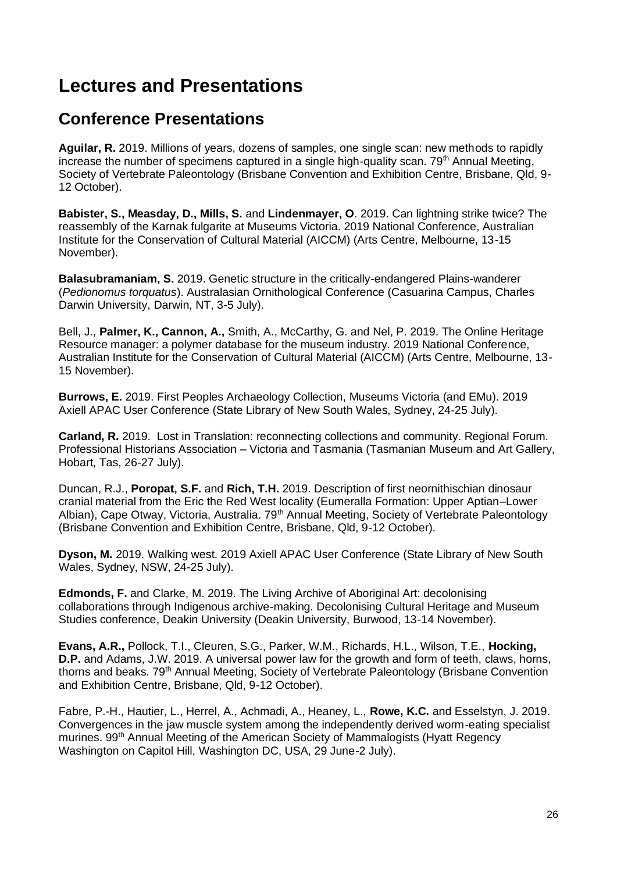## <span id="page-25-0"></span>**Lectures and Presentations**

### **Conference Presentations**

**Aguilar, R.** 2019. Millions of years, dozens of samples, one single scan: new methods to rapidly increase the number of specimens captured in a single high-quality scan.  $79<sup>th</sup>$  Annual Meeting, Society of Vertebrate Paleontology (Brisbane Convention and Exhibition Centre, Brisbane, Qld, 9- 12 October).

**Babister, S., Measday, D., Mills, S.** and **Lindenmayer, O**. 2019. Can lightning strike twice? The reassembly of the Karnak fulgarite at Museums Victoria. 2019 National Conference, Australian Institute for the Conservation of Cultural Material (AICCM) (Arts Centre, Melbourne, 13-15 November).

**Balasubramaniam, S.** 2019. Genetic structure in the critically-endangered Plains-wanderer (*Pedionomus torquatus*). Australasian Ornithological Conference (Casuarina Campus, Charles Darwin University, Darwin, NT, 3-5 July).

Bell, J., **Palmer, K., Cannon, A.,** Smith, A., McCarthy, G. and Nel, P. 2019. The Online Heritage Resource manager: a polymer database for the museum industry. 2019 National Conference, Australian Institute for the Conservation of Cultural Material (AICCM) (Arts Centre, Melbourne, 13- 15 November).

**Burrows, E.** 2019. First Peoples Archaeology Collection, Museums Victoria (and EMu). 2019 Axiell APAC User Conference (State Library of New South Wales, Sydney, 24-25 July).

**Carland, R.** 2019. Lost in Translation: reconnecting collections and community. Regional Forum. Professional Historians Association – Victoria and Tasmania (Tasmanian Museum and Art Gallery, Hobart, Tas, 26-27 July).

Duncan, R.J., **Poropat, S.F.** and **Rich, T.H.** 2019. Description of first neornithischian dinosaur cranial material from the Eric the Red West locality (Eumeralla Formation: Upper Aptian–Lower Albian), Cape Otway, Victoria, Australia. 79<sup>th</sup> Annual Meeting, Society of Vertebrate Paleontology (Brisbane Convention and Exhibition Centre, Brisbane, Qld, 9-12 October).

**Dyson, M.** 2019. Walking west. 2019 Axiell APAC User Conference (State Library of New South Wales, Sydney, NSW, 24-25 July).

**Edmonds, F.** and Clarke, M. 2019. The Living Archive of Aboriginal Art: decolonising collaborations through Indigenous archive-making. Decolonising Cultural Heritage and Museum Studies conference, Deakin University (Deakin University, Burwood, 13-14 November).

**Evans, A.R.,** Pollock, T.I., Cleuren, S.G., Parker, W.M., Richards, H.L., Wilson, T.E., **Hocking, D.P.** and Adams, J.W. 2019. A universal power law for the growth and form of teeth, claws, horns, thorns and beaks. 79<sup>th</sup> Annual Meeting, Society of Vertebrate Paleontology (Brisbane Convention and Exhibition Centre, Brisbane, Qld, 9-12 October).

Fabre, P.-H., Hautier, L., Herrel, A., Achmadi, A., Heaney, L., **Rowe, K.C.** and Esselstyn, J. 2019. Convergences in the jaw muscle system among the independently derived worm-eating specialist murines. 99th Annual Meeting of the American Society of Mammalogists (Hyatt Regency Washington on Capitol Hill, Washington DC, USA, 29 June-2 July).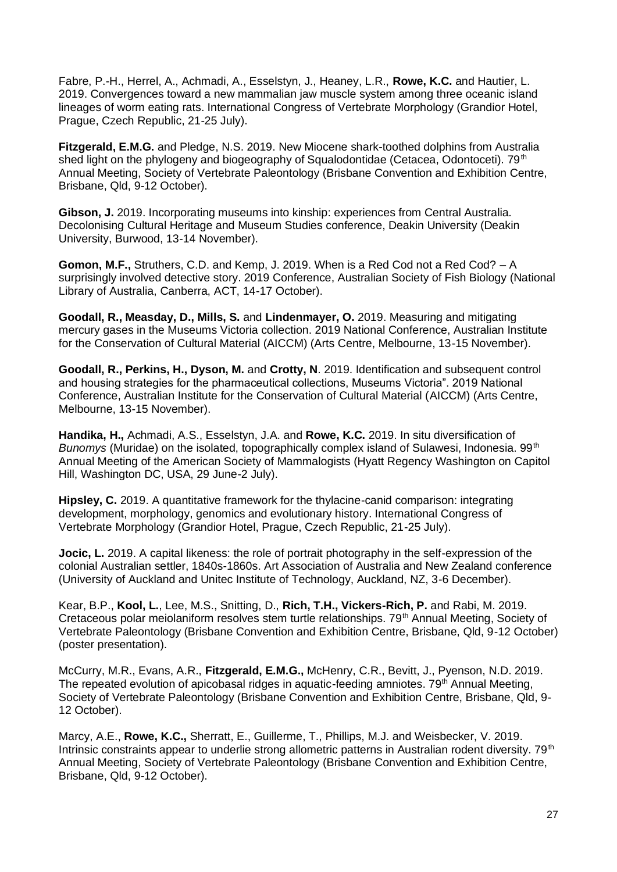Fabre, P.-H., Herrel, A., Achmadi, A., Esselstyn, J., Heaney, L.R., **Rowe, K.C.** and Hautier, L. 2019. Convergences toward a new mammalian jaw muscle system among three oceanic island lineages of worm eating rats. International Congress of Vertebrate Morphology (Grandior Hotel, Prague, Czech Republic, 21-25 July).

**Fitzgerald, E.M.G.** and Pledge, N.S. 2019. New Miocene shark-toothed dolphins from Australia shed light on the phylogeny and biogeography of Squalodontidae (Cetacea, Odontoceti).  $79<sup>th</sup>$ Annual Meeting, Society of Vertebrate Paleontology (Brisbane Convention and Exhibition Centre, Brisbane, Qld, 9-12 October).

**Gibson, J.** 2019. Incorporating museums into kinship: experiences from Central Australia. Decolonising Cultural Heritage and Museum Studies conference, Deakin University (Deakin University, Burwood, 13-14 November).

**Gomon, M.F.,** Struthers, C.D. and Kemp, J. 2019. When is a Red Cod not a Red Cod? – A surprisingly involved detective story. 2019 Conference, Australian Society of Fish Biology (National Library of Australia, Canberra, ACT, 14-17 October).

**Goodall, R., Measday, D., Mills, S.** and **Lindenmayer, O.** 2019. Measuring and mitigating mercury gases in the Museums Victoria collection. 2019 National Conference, Australian Institute for the Conservation of Cultural Material (AICCM) (Arts Centre, Melbourne, 13-15 November).

**Goodall, R., Perkins, H., Dyson, M.** and **Crotty, N**. 2019. Identification and subsequent control and housing strategies for the pharmaceutical collections, Museums Victoria". 2019 National Conference, Australian Institute for the Conservation of Cultural Material (AICCM) (Arts Centre, Melbourne, 13-15 November).

**Handika, H.,** Achmadi, A.S., Esselstyn, J.A. and **Rowe, K.C.** 2019. In situ diversification of *Bunomys* (Muridae) on the isolated, topographically complex island of Sulawesi, Indonesia. 99<sup>th</sup> Annual Meeting of the American Society of Mammalogists (Hyatt Regency Washington on Capitol Hill, Washington DC, USA, 29 June-2 July).

**Hipsley, C.** 2019. A quantitative framework for the thylacine-canid comparison: integrating development, morphology, genomics and evolutionary history. International Congress of Vertebrate Morphology (Grandior Hotel, Prague, Czech Republic, 21-25 July).

**Jocic, L.** 2019. A capital likeness: the role of portrait photography in the self-expression of the colonial Australian settler, 1840s-1860s. Art Association of Australia and New Zealand conference (University of Auckland and Unitec Institute of Technology, Auckland, NZ, 3-6 December).

Kear, B.P., **Kool, L.**, Lee, M.S., Snitting, D., **Rich, T.H., Vickers-Rich, P.** and Rabi, M. 2019. Cretaceous polar meiolaniform resolves stem turtle relationships. 79<sup>th</sup> Annual Meeting, Society of Vertebrate Paleontology (Brisbane Convention and Exhibition Centre, Brisbane, Qld, 9-12 October) (poster presentation).

McCurry, M.R., Evans, A.R., **Fitzgerald, E.M.G.,** McHenry, C.R., Bevitt, J., Pyenson, N.D. 2019. The repeated evolution of apicobasal ridges in aquatic-feeding amniotes. 79<sup>th</sup> Annual Meeting, Society of Vertebrate Paleontology (Brisbane Convention and Exhibition Centre, Brisbane, Qld, 9- 12 October).

Marcy, A.E., **Rowe, K.C.,** Sherratt, E., Guillerme, T., Phillips, M.J. and Weisbecker, V. 2019. Intrinsic constraints appear to underlie strong allometric patterns in Australian rodent diversity. 79<sup>th</sup> Annual Meeting, Society of Vertebrate Paleontology (Brisbane Convention and Exhibition Centre, Brisbane, Qld, 9-12 October).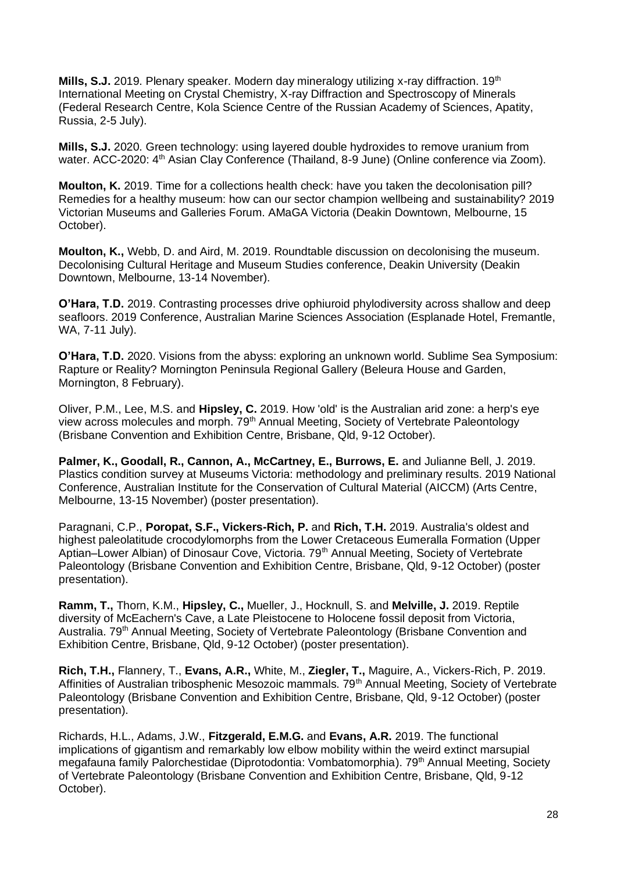**Mills, S.J.** 2019. Plenary speaker. Modern day mineralogy utilizing x-ray diffraction. 19<sup>th</sup> International Meeting on Crystal Chemistry, X-ray Diffraction and Spectroscopy of Minerals (Federal Research Centre, Kola Science Centre of the Russian Academy of Sciences, Apatity, Russia, 2-5 July).

**Mills, S.J.** 2020. Green technology: using layered double hydroxides to remove uranium from water. ACC-2020: 4<sup>th</sup> Asian Clay Conference (Thailand, 8-9 June) (Online conference via Zoom).

**Moulton, K.** 2019. Time for a collections health check: have you taken the decolonisation pill? Remedies for a healthy museum: how can our sector champion wellbeing and sustainability? 2019 Victorian Museums and Galleries Forum. AMaGA Victoria (Deakin Downtown, Melbourne, 15 October).

**Moulton, K.,** Webb, D. and Aird, M. 2019. Roundtable discussion on decolonising the museum. Decolonising Cultural Heritage and Museum Studies conference, Deakin University (Deakin Downtown, Melbourne, 13-14 November).

**O'Hara, T.D.** 2019. Contrasting processes drive ophiuroid phylodiversity across shallow and deep seafloors. 2019 Conference, Australian Marine Sciences Association (Esplanade Hotel, Fremantle, WA, 7-11 July).

**O'Hara, T.D.** 2020. Visions from the abyss: exploring an unknown world. Sublime Sea Symposium: Rapture or Reality? Mornington Peninsula Regional Gallery (Beleura House and Garden, Mornington, 8 February).

Oliver, P.M., Lee, M.S. and **Hipsley, C.** 2019. How 'old' is the Australian arid zone: a herp's eye view across molecules and morph. 79<sup>th</sup> Annual Meeting, Society of Vertebrate Paleontology (Brisbane Convention and Exhibition Centre, Brisbane, Qld, 9-12 October).

**Palmer, K., Goodall, R., Cannon, A., McCartney, E., Burrows, E.** and Julianne Bell, J. 2019. Plastics condition survey at Museums Victoria: methodology and preliminary results. 2019 National Conference, Australian Institute for the Conservation of Cultural Material (AICCM) (Arts Centre, Melbourne, 13-15 November) (poster presentation).

Paragnani, C.P., **Poropat, S.F., Vickers-Rich, P.** and **Rich, T.H.** 2019. Australia's oldest and highest paleolatitude crocodylomorphs from the Lower Cretaceous Eumeralla Formation (Upper Aptian–Lower Albian) of Dinosaur Cove, Victoria. 79th Annual Meeting, Society of Vertebrate Paleontology (Brisbane Convention and Exhibition Centre, Brisbane, Qld, 9-12 October) (poster presentation).

**Ramm, T.,** Thorn, K.M., **Hipsley, C.,** Mueller, J., Hocknull, S. and **Melville, J.** 2019. Reptile diversity of McEachern's Cave, a Late Pleistocene to Holocene fossil deposit from Victoria, Australia. 79<sup>th</sup> Annual Meeting, Society of Vertebrate Paleontology (Brisbane Convention and Exhibition Centre, Brisbane, Qld, 9-12 October) (poster presentation).

**Rich, T.H.,** Flannery, T., **Evans, A.R.,** White, M., **Ziegler, T.,** Maguire, A., Vickers-Rich, P. 2019. Affinities of Australian tribosphenic Mesozoic mammals. 79<sup>th</sup> Annual Meeting, Society of Vertebrate Paleontology (Brisbane Convention and Exhibition Centre, Brisbane, Qld, 9-12 October) (poster presentation).

Richards, H.L., Adams, J.W., **Fitzgerald, E.M.G.** and **Evans, A.R.** 2019. The functional implications of gigantism and remarkably low elbow mobility within the weird extinct marsupial megafauna family Palorchestidae (Diprotodontia: Vombatomorphia). 79<sup>th</sup> Annual Meeting, Society of Vertebrate Paleontology (Brisbane Convention and Exhibition Centre, Brisbane, Qld, 9-12 October).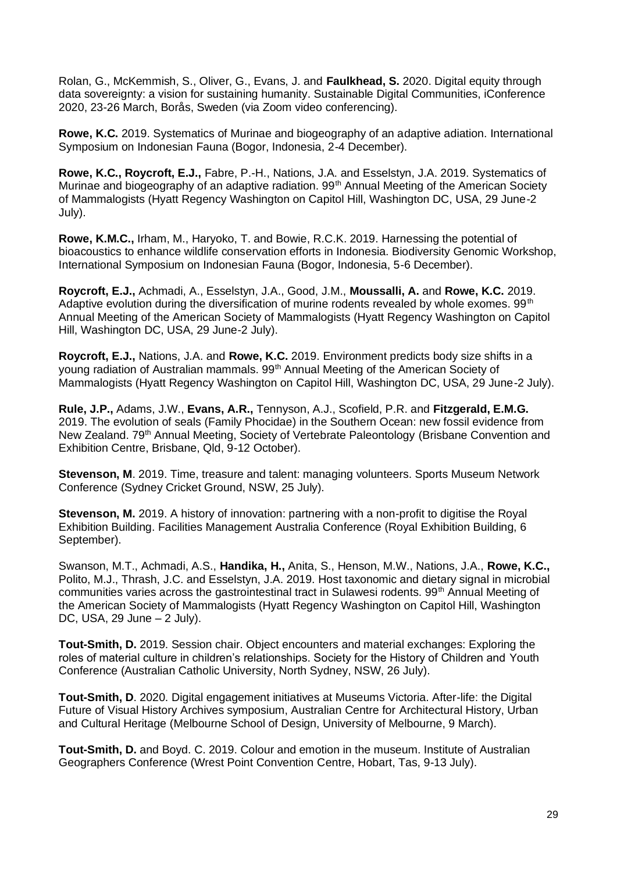Rolan, G., McKemmish, S., Oliver, G., Evans, J. and **Faulkhead, S.** 2020. Digital equity through data sovereignty: a vision for sustaining humanity. Sustainable Digital Communities, iConference 2020, 23-26 March, Borås, Sweden (via Zoom video conferencing).

**Rowe, K.C.** 2019. Systematics of Murinae and biogeography of an adaptive adiation. International Symposium on Indonesian Fauna (Bogor, Indonesia, 2-4 December).

**Rowe, K.C., Roycroft, E.J.,** Fabre, P.-H., Nations, J.A. and Esselstyn, J.A. 2019. Systematics of Murinae and biogeography of an adaptive radiation. 99<sup>th</sup> Annual Meeting of the American Society of Mammalogists (Hyatt Regency Washington on Capitol Hill, Washington DC, USA, 29 June-2 July).

**Rowe, K.M.C.,** Irham, M., Haryoko, T. and Bowie, R.C.K. 2019. Harnessing the potential of bioacoustics to enhance wildlife conservation efforts in Indonesia. Biodiversity Genomic Workshop, International Symposium on Indonesian Fauna (Bogor, Indonesia, 5-6 December).

**Roycroft, E.J.,** Achmadi, A., Esselstyn, J.A., Good, J.M., **Moussalli, A.** and **Rowe, K.C.** 2019. Adaptive evolution during the diversification of murine rodents revealed by whole exomes.  $99<sup>th</sup>$ Annual Meeting of the American Society of Mammalogists (Hyatt Regency Washington on Capitol Hill, Washington DC, USA, 29 June-2 July).

**Roycroft, E.J.,** Nations, J.A. and **Rowe, K.C.** 2019. Environment predicts body size shifts in a young radiation of Australian mammals. 99<sup>th</sup> Annual Meeting of the American Society of Mammalogists (Hyatt Regency Washington on Capitol Hill, Washington DC, USA, 29 June-2 July).

**Rule, J.P.,** Adams, J.W., **Evans, A.R.,** Tennyson, A.J., Scofield, P.R. and **Fitzgerald, E.M.G.** 2019. The evolution of seals (Family Phocidae) in the Southern Ocean: new fossil evidence from New Zealand. 79<sup>th</sup> Annual Meeting, Society of Vertebrate Paleontology (Brisbane Convention and Exhibition Centre, Brisbane, Qld, 9-12 October).

**Stevenson, M**. 2019. Time, treasure and talent: managing volunteers. Sports Museum Network Conference (Sydney Cricket Ground, NSW, 25 July).

**Stevenson, M.** 2019. A history of innovation: partnering with a non-profit to digitise the Royal Exhibition Building. Facilities Management Australia Conference (Royal Exhibition Building, 6 September).

Swanson, M.T., Achmadi, A.S., **Handika, H.,** Anita, S., Henson, M.W., Nations, J.A., **Rowe, K.C.,** Polito, M.J., Thrash, J.C. and Esselstyn, J.A. 2019. Host taxonomic and dietary signal in microbial communities varies across the gastrointestinal tract in Sulawesi rodents. 99<sup>th</sup> Annual Meeting of the American Society of Mammalogists (Hyatt Regency Washington on Capitol Hill, Washington DC, USA, 29 June – 2 July).

**Tout-Smith, D.** 2019. Session chair. Object encounters and material exchanges: Exploring the roles of material culture in children's relationships. Society for the History of Children and Youth Conference (Australian Catholic University, North Sydney, NSW, 26 July).

**Tout-Smith, D**. 2020. Digital engagement initiatives at Museums Victoria. After-life: the Digital Future of Visual History Archives symposium, Australian Centre for Architectural History, Urban and Cultural Heritage (Melbourne School of Design, University of Melbourne, 9 March).

**Tout-Smith, D.** and Boyd. C. 2019. Colour and emotion in the museum. Institute of Australian Geographers Conference (Wrest Point Convention Centre, Hobart, Tas, 9-13 July).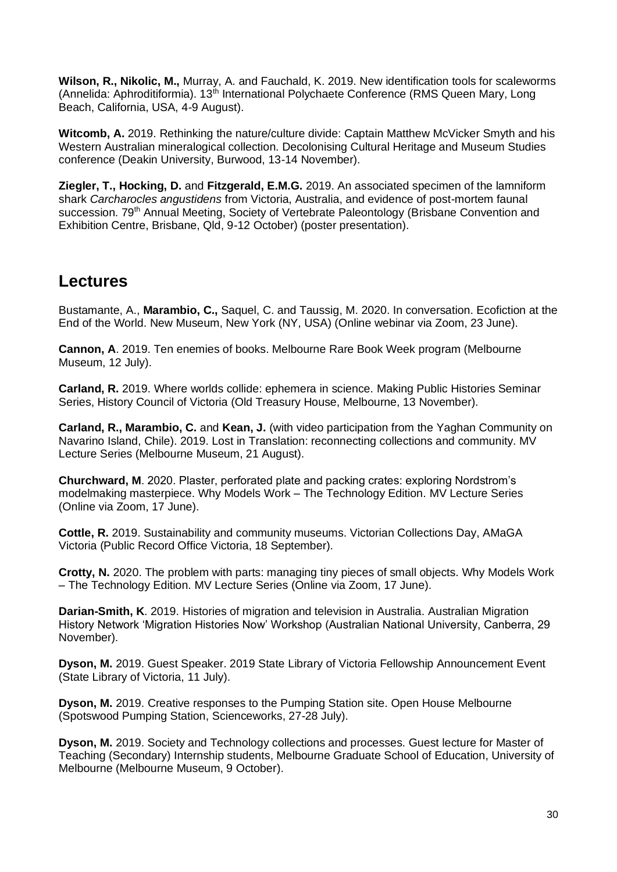**Wilson, R., Nikolic, M.,** Murray, A. and Fauchald, K. 2019. New identification tools for scaleworms (Annelida: Aphroditiformia).  $13<sup>th</sup>$  International Polychaete Conference (RMS Queen Mary, Long Beach, California, USA, 4-9 August).

**Witcomb, A.** 2019. Rethinking the nature/culture divide: Captain Matthew McVicker Smyth and his Western Australian mineralogical collection. Decolonising Cultural Heritage and Museum Studies conference (Deakin University, Burwood, 13-14 November).

**Ziegler, T., Hocking, D.** and **Fitzgerald, E.M.G.** 2019. An associated specimen of the lamniform shark *Carcharocles angustidens* from Victoria, Australia, and evidence of post-mortem faunal succession. 79<sup>th</sup> Annual Meeting, Society of Vertebrate Paleontology (Brisbane Convention and Exhibition Centre, Brisbane, Qld, 9-12 October) (poster presentation).

### **Lectures**

Bustamante, A., **Marambio, C.,** Saquel, C. and Taussig, M. 2020. In conversation. Ecofiction at the End of the World. New Museum, New York (NY, USA) (Online webinar via Zoom, 23 June).

**Cannon, A**. 2019. Ten enemies of books. Melbourne Rare Book Week program (Melbourne Museum, 12 July).

**Carland, R.** 2019. Where worlds collide: ephemera in science. Making Public Histories Seminar Series, History Council of Victoria (Old Treasury House, Melbourne, 13 November).

**Carland, R., Marambio, C.** and **Kean, J.** (with video participation from the Yaghan Community on Navarino Island, Chile). 2019. Lost in Translation: reconnecting collections and community. MV Lecture Series (Melbourne Museum, 21 August).

**Churchward, M**. 2020. Plaster, perforated plate and packing crates: exploring Nordstrom's modelmaking masterpiece. Why Models Work – The Technology Edition. MV Lecture Series (Online via Zoom, 17 June).

**Cottle, R.** 2019. Sustainability and community museums. Victorian Collections Day, AMaGA Victoria (Public Record Office Victoria, 18 September).

**Crotty, N.** 2020. The problem with parts: managing tiny pieces of small objects. Why Models Work – The Technology Edition. MV Lecture Series (Online via Zoom, 17 June).

**Darian-Smith, K**. 2019. Histories of migration and television in Australia. Australian Migration History Network 'Migration Histories Now' Workshop (Australian National University, Canberra, 29 November).

**Dyson, M.** 2019. Guest Speaker. 2019 State Library of Victoria Fellowship Announcement Event (State Library of Victoria, 11 July).

**Dyson, M.** 2019. Creative responses to the Pumping Station site. Open House Melbourne (Spotswood Pumping Station, Scienceworks, 27-28 July).

**Dyson, M.** 2019. Society and Technology collections and processes. Guest lecture for Master of Teaching (Secondary) Internship students, Melbourne Graduate School of Education, University of Melbourne (Melbourne Museum, 9 October).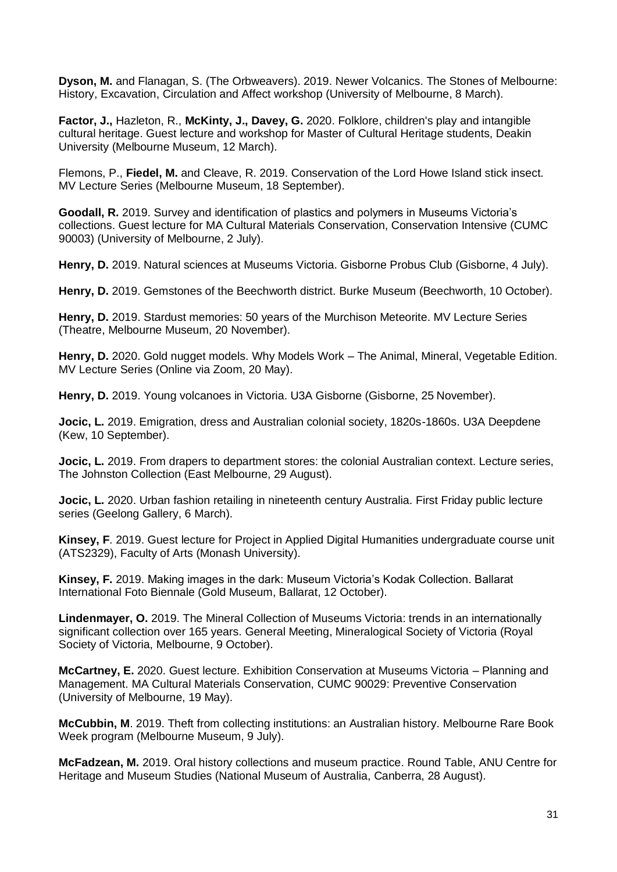**Dyson, M.** and Flanagan, S. (The Orbweavers). 2019. Newer Volcanics. The Stones of Melbourne: History, Excavation, Circulation and Affect workshop (University of Melbourne, 8 March).

**Factor, J.,** Hazleton, R., **McKinty, J., Davey, G.** 2020. Folklore, children's play and intangible cultural heritage. Guest lecture and workshop for Master of Cultural Heritage students, Deakin University (Melbourne Museum, 12 March).

Flemons, P., **Fiedel, M.** and Cleave, R. 2019. Conservation of the Lord Howe Island stick insect. MV Lecture Series (Melbourne Museum, 18 September).

**Goodall, R.** 2019. Survey and identification of plastics and polymers in Museums Victoria's collections. Guest lecture for MA Cultural Materials Conservation, Conservation Intensive (CUMC 90003) (University of Melbourne, 2 July).

**Henry, D.** 2019. Natural sciences at Museums Victoria. Gisborne Probus Club (Gisborne, 4 July).

**Henry, D.** 2019. Gemstones of the Beechworth district. Burke Museum (Beechworth, 10 October).

**Henry, D.** 2019. Stardust memories: 50 years of the Murchison Meteorite. MV Lecture Series (Theatre, Melbourne Museum, 20 November).

Henry, D. 2020. Gold nugget models. Why Models Work – The Animal, Mineral, Vegetable Edition. MV Lecture Series (Online via Zoom, 20 May).

**Henry, D.** 2019. Young volcanoes in Victoria. U3A Gisborne (Gisborne, 25 November).

**Jocic, L.** 2019. Emigration, dress and Australian colonial society, 1820s-1860s. U3A Deepdene (Kew, 10 September).

**Jocic, L.** 2019. From drapers to department stores: the colonial Australian context. Lecture series, The Johnston Collection (East Melbourne, 29 August).

Jocic, L. 2020. Urban fashion retailing in nineteenth century Australia. First Friday public lecture series (Geelong Gallery, 6 March).

**Kinsey, F**. 2019. Guest lecture for Project in Applied Digital Humanities undergraduate course unit (ATS2329), Faculty of Arts (Monash University).

**Kinsey, F.** 2019. Making images in the dark: Museum Victoria's Kodak Collection. Ballarat International Foto Biennale (Gold Museum, Ballarat, 12 October).

**Lindenmayer, O.** 2019. The Mineral Collection of Museums Victoria: trends in an internationally significant collection over 165 years. General Meeting, Mineralogical Society of Victoria (Royal Society of Victoria, Melbourne, 9 October).

**McCartney, E.** 2020. Guest lecture. Exhibition Conservation at Museums Victoria – Planning and Management. MA Cultural Materials Conservation, CUMC 90029: Preventive Conservation (University of Melbourne, 19 May).

**McCubbin, M**. 2019. Theft from collecting institutions: an Australian history. Melbourne Rare Book Week program (Melbourne Museum, 9 July).

**McFadzean, M.** 2019. Oral history collections and museum practice. Round Table, ANU Centre for Heritage and Museum Studies (National Museum of Australia, Canberra, 28 August).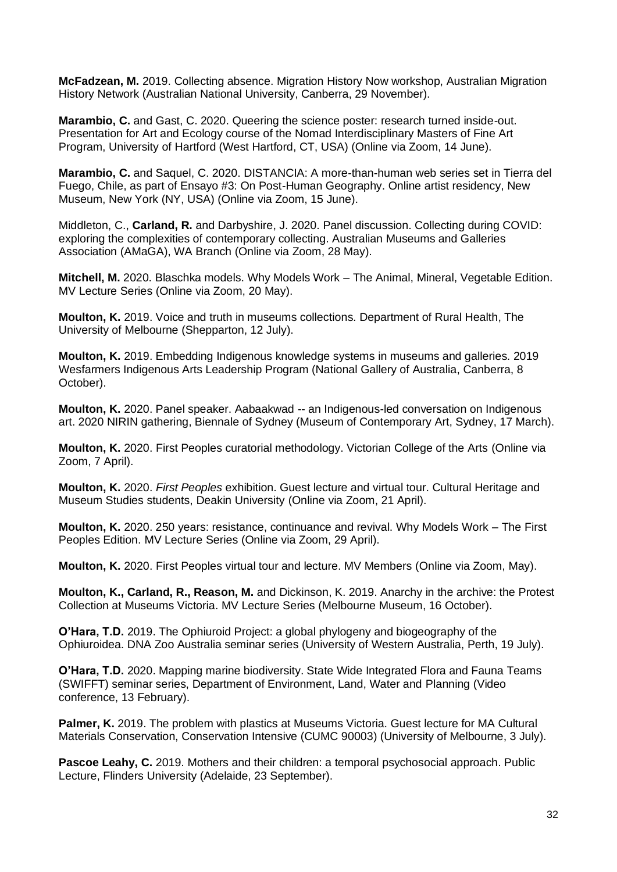**McFadzean, M.** 2019. Collecting absence. Migration History Now workshop, Australian Migration History Network (Australian National University, Canberra, 29 November).

**Marambio, C.** and Gast, C. 2020. Queering the science poster: research turned inside-out. Presentation for Art and Ecology course of the Nomad Interdisciplinary Masters of Fine Art Program, University of Hartford (West Hartford, CT, USA) (Online via Zoom, 14 June).

**Marambio, C.** and Saquel, C. 2020. DISTANCIA: A more-than-human web series set in Tierra del Fuego, Chile, as part of Ensayo #3: On Post-Human Geography. Online artist residency, New Museum, New York (NY, USA) (Online via Zoom, 15 June).

Middleton, C., **Carland, R.** and Darbyshire, J. 2020. Panel discussion. Collecting during COVID: exploring the complexities of contemporary collecting. Australian Museums and Galleries Association (AMaGA), WA Branch (Online via Zoom, 28 May).

**Mitchell, M.** 2020. Blaschka models. Why Models Work – The Animal, Mineral, Vegetable Edition. MV Lecture Series (Online via Zoom, 20 May).

**Moulton, K.** 2019. Voice and truth in museums collections. Department of Rural Health, The University of Melbourne (Shepparton, 12 July).

**Moulton, K.** 2019. Embedding Indigenous knowledge systems in museums and galleries. 2019 Wesfarmers Indigenous Arts Leadership Program (National Gallery of Australia, Canberra, 8 October).

**Moulton, K.** 2020. Panel speaker. Aabaakwad -- an Indigenous-led conversation on Indigenous art. 2020 NIRIN gathering, Biennale of Sydney (Museum of Contemporary Art, Sydney, 17 March).

**Moulton, K.** 2020. First Peoples curatorial methodology. Victorian College of the Arts (Online via Zoom, 7 April).

**Moulton, K.** 2020. *First Peoples* exhibition. Guest lecture and virtual tour. Cultural Heritage and Museum Studies students, Deakin University (Online via Zoom, 21 April).

**Moulton, K.** 2020. 250 years: resistance, continuance and revival. Why Models Work – The First Peoples Edition. MV Lecture Series (Online via Zoom, 29 April).

**Moulton, K.** 2020. First Peoples virtual tour and lecture. MV Members (Online via Zoom, May).

**Moulton, K., Carland, R., Reason, M.** and Dickinson, K. 2019. Anarchy in the archive: the Protest Collection at Museums Victoria. MV Lecture Series (Melbourne Museum, 16 October).

**O'Hara, T.D.** 2019. The Ophiuroid Project: a global phylogeny and biogeography of the Ophiuroidea. DNA Zoo Australia seminar series (University of Western Australia, Perth, 19 July).

**O'Hara, T.D.** 2020. Mapping marine biodiversity. State Wide Integrated Flora and Fauna Teams (SWIFFT) seminar series, Department of Environment, Land, Water and Planning (Video conference, 13 February).

**Palmer, K.** 2019. The problem with plastics at Museums Victoria. Guest lecture for MA Cultural Materials Conservation, Conservation Intensive (CUMC 90003) (University of Melbourne, 3 July).

**Pascoe Leahy, C.** 2019. Mothers and their children: a temporal psychosocial approach. Public Lecture, Flinders University (Adelaide, 23 September).